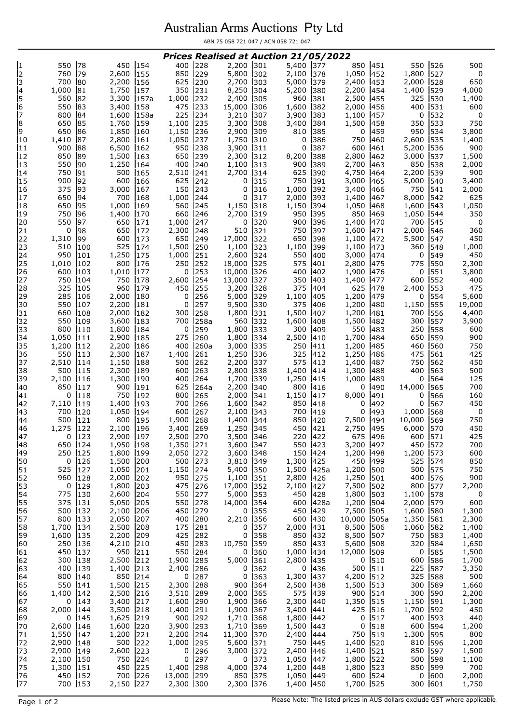## Australian Arms Auctions Pty Ltd

ABN 75 058 721 047 / ACN 058 721 047

| 550<br>450<br>301<br>451<br>79<br>850<br>229<br>527<br>c<br>c<br>2,600<br>155<br>5,800<br>302<br>2,100<br>378<br>1,050<br>452<br>1,800<br>0<br>760<br>625<br>230<br>5,000<br>453<br>528<br>650<br>700<br>80<br>2,200<br>156<br>2,700<br>303<br>379<br>2,400<br>2,000<br>350<br>8,250<br>454<br>$\overline{\mathbf{r}}$<br>1,000<br>81<br>1,750<br>157<br>231<br>304<br>5,200<br>380<br>2,200<br>1,400<br>529<br>4,000<br>5<br>1,000<br>2,400<br>2,500<br>325<br>560<br>82<br>3,300<br>157a<br>232<br>305<br>960<br>381<br>455<br>530<br>1,400<br>6<br>550<br>83<br>475<br>233<br>15,000<br>2,000<br>400<br>531<br>600<br>3,400<br>158<br>1,600<br>382<br>456<br>306<br>7<br>225<br>84<br>234<br>3,210<br>3,900<br>383<br>1,100<br>457<br>532<br>800<br>1,600<br>158a<br>307<br>0<br>0<br>8<br>650<br>85<br>235<br>3,300<br>1,500<br>458<br>533<br>750<br>1,760<br>159<br>1,100<br>308<br>3,400<br>384<br>350<br>9<br>459<br>534<br>650<br>86<br>1,850<br>160<br>1,150<br>236<br>2,900<br>385<br>950<br>3,800<br>309<br>810<br>0<br>1,050<br>1,750<br>750<br>2,600<br>535<br>1,400<br>10<br>1,410<br>87<br>2,800<br>161<br>237<br>310<br>0<br>386<br>460<br>900<br>88<br>6,500<br>950<br>600<br>5,200<br>900<br>162<br>238<br>3,900<br>0<br>387<br>461<br>536<br> 11<br>311<br>850<br>89<br>650<br>239<br>2,300<br>2,800<br>3,000<br>1,500<br>1,500<br>163<br>312<br>8,200<br>388<br>462<br>537<br>550<br>1,250<br>400<br>2,700<br>850<br>538<br>90<br>164<br>240<br>1,100<br>313<br>900<br>389<br>463<br>2,000<br>4,750<br>539<br>14<br>750<br>91<br>500<br>165<br>2,510<br>241<br>2,700<br>625<br>390<br>464<br>2,200<br>900<br>314<br>900<br>625<br>750<br>3,000<br>5,000<br>3,400<br>15<br>92<br>600<br>166<br>242<br>315<br>391<br>465<br>540<br>0<br>375<br>93<br>150<br>1,000<br>3,400<br>750<br>3,000<br>167<br>243<br>0<br>392<br>466<br>541<br>2,000<br>16<br>316<br>625<br>94<br>700<br>1,000<br>393<br>1,400<br>8,000<br>542<br>17<br>650<br>168<br>244<br>0<br>317<br>2,000<br>467<br>95<br>1,000<br>560<br>1,050<br>1,050<br>18<br>650<br>169<br>245<br>1,150<br>318<br>1,150<br>394<br>468<br>1,600<br>543<br>850<br>750<br>96<br>1,400<br>170<br>660<br>2,700<br>950<br>395<br>1,050<br>544<br>350<br>246<br>319<br>469<br>1,400<br>550<br>97<br>650<br>171<br>1,000<br>247<br>320<br>900<br>396<br>470<br>700<br>545<br>0<br>0<br>98<br>650<br>2,300<br>510<br>750<br>1,600<br>2,000<br>360<br>21<br>0<br>248<br>397<br>471<br>546<br>172<br>321<br>650<br>99<br>249<br>17,000<br>398<br>1,100<br>5,500<br>450<br>22<br>1,310<br>600<br>173<br>322<br>650<br>472<br>547<br>23<br>510<br>525<br>1,500<br>323<br>100<br>174<br>250<br>1,100<br>1,100<br>399<br>1,100<br>473<br>360<br>548<br>1,000<br>950<br>1,250<br>2,600<br>550<br>450<br>24<br>175<br>1,000<br>3,000<br>549<br>101<br>251<br>324<br>400<br>474<br>0<br>250<br>2,300<br>1,010<br>102<br>800<br>176<br>252<br>18,000<br>325<br>575<br>2,800<br>475<br>775<br>550<br>401<br>10,000<br>1,900<br>3,800<br>600<br>103<br>1,010<br>177<br>0<br>253<br>400<br>402<br>476<br>0<br>551<br>326<br>400<br>750<br>750<br>178<br>2,600<br>13,000<br>350<br>1,400<br>477<br>552<br>27<br>104<br>254<br>327<br>403<br>600<br>28<br>325<br>960<br>450<br>625<br>2,400<br>475<br>105<br>179<br>255<br>3,200<br>328<br>375<br>404<br>478<br>553<br>1,200<br>5,600<br>285<br>2,000<br>180<br>5,000<br>1,100<br>554<br>29<br>106<br>0<br>256<br>329<br>405<br>479<br>0<br>9,500<br>30<br>550<br>107<br>2,200<br>181<br>257<br>330<br>375<br>1,200<br>480<br>1,150<br>555<br>19,000<br>0<br>406<br>300<br>258<br>1,800<br>1,200<br>4,400<br>660<br>2,000<br>182<br>1,500<br>481<br>700<br>31<br>108<br>331<br>407<br>556<br>550<br>183<br>258a<br>560<br>332<br>1,500<br>482<br>557<br>3,900<br>109<br>3,600<br>700<br>1,600<br>408<br>300<br>800<br>1,800<br>333<br>550<br>483<br>558<br>33<br>110<br>1,800<br>184<br>259<br>300<br>409<br>250<br>600<br>0<br>1,050<br>275<br>1,800<br>2,500<br>1,700<br>650<br>559<br>900<br>34<br>2,900<br>185<br>260<br>334<br>410<br>484<br>111<br>35<br>1,200<br>2,200<br>186<br>400<br>260a<br>3,000<br>335<br>250<br>1,200<br>485<br>460<br>560<br>750<br>112<br>411<br>550<br>1,400<br>325<br>1,250<br>425<br>36<br>2,300<br>187<br>1,250<br>486<br>475<br>561<br>113<br>261<br>336<br>412<br>2,510<br>1,150<br>500<br>2,200<br>575<br>1,400<br>750<br>450<br>188<br>262<br>337<br>413<br>487<br>562<br>114<br>500<br>600<br>2,800<br>1,300<br>400<br>500<br>38<br>115<br>2,300<br>189<br>263<br>338<br>1,400<br>488<br>563<br>414<br>2,100<br>400<br>1,700<br>1,250<br>1,000<br>564<br>125<br>39<br>1,300<br>190<br>264<br>339<br>415<br>489<br>0<br>116<br>850<br>900<br>191<br>625<br>264a<br>2,200<br>340<br>800<br>490<br>14,000<br>565<br>700<br>40<br>117<br>416<br>0<br>750<br>800<br>8,000<br>160<br>192<br>265<br>2,000<br>1,150<br>491<br>566<br>41<br>0<br>118<br>341<br>417<br>0<br>700<br>1,600<br>850<br>567<br>450<br>42<br>7,110<br>119<br>1,400<br>193<br>266<br>342<br>418<br>492<br>0<br>0<br>700<br>120<br>1,050<br>194<br>600<br>267<br>2,100<br>343<br>493<br>1,000<br>568<br>0<br>700<br>419<br>0<br>500<br>1,900<br>850<br>10,000<br>750<br>121<br>800<br>195<br>268<br>1,400<br>420<br>7,500<br>494<br>569<br>344<br>1,275<br>122<br>3,400<br>269<br>1,250<br>450<br>2,750<br>495<br>6,000<br>570<br>450<br>46<br>2,100<br>196<br>345<br>421<br>220<br>2,900<br>3,500<br>47<br>0<br>1123<br> 197<br>2,500<br>1270<br>1346<br>422<br>675<br>1496<br>600<br>1571<br>425<br>572<br>48<br>124<br>1,950<br>1,350<br>271<br>3,600<br>550<br>3,200<br>450<br>700<br>650<br>198<br>347<br>423<br>497<br>49<br>2,050<br>573<br>250<br>125<br>1,800<br>199<br>272<br>3,600<br>1,200<br>1,200<br>600<br>348<br>150<br>424<br>498<br>50<br>200<br>500<br>450<br>525<br>126<br>1,500<br>273<br>3,810<br>1,300<br>425<br>499<br>574<br>850<br>0<br>349<br>525<br>127<br>1,150<br>5,400<br>1,200<br>575<br>51<br>1,050<br>201<br>274<br>350<br>1,500<br>425a<br>500<br>500<br>750<br>52<br>960<br>2,000<br>202<br>950<br>275<br>1,100<br>1,250<br>501<br>400<br>576<br>900<br>128<br>351<br>2,800<br>426<br>577<br>53<br>129<br>1,800<br>203<br>475<br>17,000<br>7,500<br>800<br>2,200<br>0<br>276<br>352<br>2,100<br>427<br>502<br>54<br>130<br>204<br>550<br>5,000<br>353<br>503<br>578<br>775<br>2,600<br>277<br>450<br>428<br>1,800<br>1,100<br>0<br>375<br>205<br>550<br>5,050<br>278<br>600<br>428a<br>1,200<br>504<br>2,000<br>579<br>600<br>131<br>14,000<br>354<br>450<br>7,500<br>1,600<br>1,300<br>56<br>500<br>132<br>2,100<br>206<br>279<br>355<br>450<br>429<br>505<br>580<br>0<br>57<br>800<br>133<br>2,050<br>207<br>400<br>280<br>2,210<br>600<br>10,000<br>1,350<br>2,300<br>356<br>430<br>505a<br>581<br>58<br>1,700<br>134<br>2,500<br>208<br>175<br>8,500<br>1,060<br>582<br>1,400<br>281<br>0<br>357<br>2,000<br>431<br>506<br>59<br>135<br>209<br>425<br>282<br>358<br>1,400<br>1,600<br>2,200<br>0<br>850<br>432<br>8,500<br>507<br>750<br>583<br>250<br>450<br>1,650<br>210<br>283<br>10,750<br>850<br>433<br>5,600<br>508<br>320<br>136<br>4,210<br>359<br>584<br>1,500<br>950<br>550<br>585<br>450<br>137<br>211<br>284<br>360<br>1,000<br>434<br>12,000<br>509<br>0<br>0<br>2,500<br>285<br>5,000<br>510<br>1,700<br>62<br>300<br>138<br>212<br>1,900<br>361<br>2,800<br>435<br>600<br>586<br>0<br>500<br>400<br>213<br>436<br>511<br>225<br>587<br>3,350<br>63<br>139<br>1,400<br>2,400<br>286<br>0<br>362<br>0<br>64<br>214<br>363<br>512<br>500<br>800<br>140<br>850<br>287<br>0<br>1,300<br>4,200<br>325<br>588<br>0<br>437<br>550<br>215<br>65<br>1,500<br>2,300<br>288<br>900<br>2,500<br>1,500<br>513<br>300<br>589<br>1,660<br>141<br>364<br>438<br>3,510<br>575<br>900<br>2,200<br>1,400<br>2,500<br>216<br>289<br>2,000<br>365<br>439<br>514<br>300<br>590<br>66<br>142<br>515<br>143<br>217<br>1,600<br>290<br>1,900<br>366<br>2,300<br>1,350<br>1,150<br>591<br>1,300<br>0<br>3,400<br>440<br>68<br>2,000<br>218<br>1,400<br>1,900<br>3,400<br>441<br>425<br>1,700<br>592<br>450<br>144<br>3,500<br>291<br>367<br>516<br>69<br>219<br>593<br>145<br>1,625<br>900<br>292<br>1,710<br>368<br>1,800<br>442<br>517<br>400<br>440<br>0<br>0<br>70<br>2,600<br>220<br>3,900<br>1,710<br>443<br>518<br>600<br>594<br>1,200<br>146<br>1,600<br>293<br>369<br>1,500<br>0<br>1,550<br>11,300<br>800<br>71<br>1,200<br>221<br>2,200<br>294<br>370<br>2,400<br>750<br>519<br>1,300<br>595<br>147<br>444<br>520<br>2,900<br>148<br>500<br>222<br>1,000<br>295<br>371<br>750<br>445<br>1,400<br>596<br>1,200<br>5,600<br>810<br>2,900<br>223<br>2,400<br>1,400<br>521<br>850<br>597<br>1,500<br>149<br>2,600<br>0<br>296<br>3,000<br>372<br>446<br>74<br>150<br>224<br>297<br>373<br>522<br>598<br>1,100<br>2,100<br>750<br>$\Omega$<br>1,050<br>1,800<br>500<br>0<br>447<br>700<br>75<br>1,300<br>151<br>450<br>225<br>1,400<br>298<br>4,000<br>374<br>523<br>850<br>599<br>1,200<br>448<br>1,800<br>2,000<br>226<br>13,000<br>600<br>524<br>76<br>450<br>152<br>700<br>299<br>850<br>375<br>1,050<br>449<br>600<br>0<br>700 153<br>227<br>1,700 525<br>2,150<br>2,300 300<br>2,300 376<br>1,400<br>450<br>300 601<br>1,750 |    |    |     | Prices Realised at Auction 21/05/2022 |       |       |     |     |     |     |     |
|------------------------------------------------------------------------------------------------------------------------------------------------------------------------------------------------------------------------------------------------------------------------------------------------------------------------------------------------------------------------------------------------------------------------------------------------------------------------------------------------------------------------------------------------------------------------------------------------------------------------------------------------------------------------------------------------------------------------------------------------------------------------------------------------------------------------------------------------------------------------------------------------------------------------------------------------------------------------------------------------------------------------------------------------------------------------------------------------------------------------------------------------------------------------------------------------------------------------------------------------------------------------------------------------------------------------------------------------------------------------------------------------------------------------------------------------------------------------------------------------------------------------------------------------------------------------------------------------------------------------------------------------------------------------------------------------------------------------------------------------------------------------------------------------------------------------------------------------------------------------------------------------------------------------------------------------------------------------------------------------------------------------------------------------------------------------------------------------------------------------------------------------------------------------------------------------------------------------------------------------------------------------------------------------------------------------------------------------------------------------------------------------------------------------------------------------------------------------------------------------------------------------------------------------------------------------------------------------------------------------------------------------------------------------------------------------------------------------------------------------------------------------------------------------------------------------------------------------------------------------------------------------------------------------------------------------------------------------------------------------------------------------------------------------------------------------------------------------------------------------------------------------------------------------------------------------------------------------------------------------------------------------------------------------------------------------------------------------------------------------------------------------------------------------------------------------------------------------------------------------------------------------------------------------------------------------------------------------------------------------------------------------------------------------------------------------------------------------------------------------------------------------------------------------------------------------------------------------------------------------------------------------------------------------------------------------------------------------------------------------------------------------------------------------------------------------------------------------------------------------------------------------------------------------------------------------------------------------------------------------------------------------------------------------------------------------------------------------------------------------------------------------------------------------------------------------------------------------------------------------------------------------------------------------------------------------------------------------------------------------------------------------------------------------------------------------------------------------------------------------------------------------------------------------------------------------------------------------------------------------------------------------------------------------------------------------------------------------------------------------------------------------------------------------------------------------------------------------------------------------------------------------------------------------------------------------------------------------------------------------------------------------------------------------------------------------------------------------------------------------------------------------------------------------------------------------------------------------------------------------------------------------------------------------------------------------------------------------------------------------------------------------------------------------------------------------------------------------------------------------------------------------------------------------------------------------------------------------------------------------------------------------------------------------------------------------------------------------------------------------------------------------------------------------------------------------------------------------------------------------------------------------------------------------------------------------------------------------------------------------------------------------------------------------------------------------------------------------------------------------------------------------------------------------------------------------------------------------------------------------------------------------------------------------------------------------------------------------------------------------------------------------------------------------------------------------------------------------------------------------------------------------------------------------------------------------------------------------------------------------------------------------------------------------------------------------------------------------------------------------------------------------------------------------------------------------------------------------------------------------------------------------------------------------------------------------------------------------------------------------------------------------------------------------------------------------------------------------------------------------------------------------------------------------------------------------------------------------------------------------------------------------------------------------------------------------------------------------------------------------------------------------------------------------------------------------------------------------------------------------------------------------------------------------------------------------------------------------------------------------------------------------------------------------------------------------------------------------------------------------------------------------------------------------------------------------------------------------------------------------------------------------------------------------------------------------------------------------------------------------------------------------------------------------------------------------------------------------------------------------------------------------------------------------------------------------------------------------------------------------------------------------------------------------------------------------------------------------------------------------------------------------------------------------------------------------------------------------------------------------------------------------------------------------------------------------------------------------------------------------------------------------------------------------------------------------------------------------------------------------------------------------------------------------------------------------------------------------------------------------------------------------------------------------|----|----|-----|---------------------------------------|-------|-------|-----|-----|-----|-----|-----|
|                                                                                                                                                                                                                                                                                                                                                                                                                                                                                                                                                                                                                                                                                                                                                                                                                                                                                                                                                                                                                                                                                                                                                                                                                                                                                                                                                                                                                                                                                                                                                                                                                                                                                                                                                                                                                                                                                                                                                                                                                                                                                                                                                                                                                                                                                                                                                                                                                                                                                                                                                                                                                                                                                                                                                                                                                                                                                                                                                                                                                                                                                                                                                                                                                                                                                                                                                                                                                                                                                                                                                                                                                                                                                                                                                                                                                                                                                                                                                                                                                                                                                                                                                                                                                                                                                                                                                                                                                                                                                                                                                                                                                                                                                                                                                                                                                                                                                                                                                                                                                                                                                                                                                                                                                                                                                                                                                                                                                                                                                                                                                                                                                                                                                                                                                                                                                                                                                                                                                                                                                                                                                                                                                                                                                                                                                                                                                                                                                                                                                                                                                                                                                                                                                                                                                                                                                                                                                                                                                                                                                                                                                                                                                                                                                                                                                                                                                                                                                                                                                                                                                                                                                                                                                                                                                                                                                                                                                                                                                                                                                                                                                                                                                                                                                                                                                                                                                                                                                                                                                                                                                                                                                                                                                                                                                                                                                                                                                                                                                                                                                                                                                                                                                                        | 1  | 78 | 154 | 228<br>400                            | 2,200 | 5,400 | 377 | 850 | 550 | 526 | 500 |
|                                                                                                                                                                                                                                                                                                                                                                                                                                                                                                                                                                                                                                                                                                                                                                                                                                                                                                                                                                                                                                                                                                                                                                                                                                                                                                                                                                                                                                                                                                                                                                                                                                                                                                                                                                                                                                                                                                                                                                                                                                                                                                                                                                                                                                                                                                                                                                                                                                                                                                                                                                                                                                                                                                                                                                                                                                                                                                                                                                                                                                                                                                                                                                                                                                                                                                                                                                                                                                                                                                                                                                                                                                                                                                                                                                                                                                                                                                                                                                                                                                                                                                                                                                                                                                                                                                                                                                                                                                                                                                                                                                                                                                                                                                                                                                                                                                                                                                                                                                                                                                                                                                                                                                                                                                                                                                                                                                                                                                                                                                                                                                                                                                                                                                                                                                                                                                                                                                                                                                                                                                                                                                                                                                                                                                                                                                                                                                                                                                                                                                                                                                                                                                                                                                                                                                                                                                                                                                                                                                                                                                                                                                                                                                                                                                                                                                                                                                                                                                                                                                                                                                                                                                                                                                                                                                                                                                                                                                                                                                                                                                                                                                                                                                                                                                                                                                                                                                                                                                                                                                                                                                                                                                                                                                                                                                                                                                                                                                                                                                                                                                                                                                                                                                        |    |    |     |                                       |       |       |     |     |     |     |     |
|                                                                                                                                                                                                                                                                                                                                                                                                                                                                                                                                                                                                                                                                                                                                                                                                                                                                                                                                                                                                                                                                                                                                                                                                                                                                                                                                                                                                                                                                                                                                                                                                                                                                                                                                                                                                                                                                                                                                                                                                                                                                                                                                                                                                                                                                                                                                                                                                                                                                                                                                                                                                                                                                                                                                                                                                                                                                                                                                                                                                                                                                                                                                                                                                                                                                                                                                                                                                                                                                                                                                                                                                                                                                                                                                                                                                                                                                                                                                                                                                                                                                                                                                                                                                                                                                                                                                                                                                                                                                                                                                                                                                                                                                                                                                                                                                                                                                                                                                                                                                                                                                                                                                                                                                                                                                                                                                                                                                                                                                                                                                                                                                                                                                                                                                                                                                                                                                                                                                                                                                                                                                                                                                                                                                                                                                                                                                                                                                                                                                                                                                                                                                                                                                                                                                                                                                                                                                                                                                                                                                                                                                                                                                                                                                                                                                                                                                                                                                                                                                                                                                                                                                                                                                                                                                                                                                                                                                                                                                                                                                                                                                                                                                                                                                                                                                                                                                                                                                                                                                                                                                                                                                                                                                                                                                                                                                                                                                                                                                                                                                                                                                                                                                                                        |    |    |     |                                       |       |       |     |     |     |     |     |
|                                                                                                                                                                                                                                                                                                                                                                                                                                                                                                                                                                                                                                                                                                                                                                                                                                                                                                                                                                                                                                                                                                                                                                                                                                                                                                                                                                                                                                                                                                                                                                                                                                                                                                                                                                                                                                                                                                                                                                                                                                                                                                                                                                                                                                                                                                                                                                                                                                                                                                                                                                                                                                                                                                                                                                                                                                                                                                                                                                                                                                                                                                                                                                                                                                                                                                                                                                                                                                                                                                                                                                                                                                                                                                                                                                                                                                                                                                                                                                                                                                                                                                                                                                                                                                                                                                                                                                                                                                                                                                                                                                                                                                                                                                                                                                                                                                                                                                                                                                                                                                                                                                                                                                                                                                                                                                                                                                                                                                                                                                                                                                                                                                                                                                                                                                                                                                                                                                                                                                                                                                                                                                                                                                                                                                                                                                                                                                                                                                                                                                                                                                                                                                                                                                                                                                                                                                                                                                                                                                                                                                                                                                                                                                                                                                                                                                                                                                                                                                                                                                                                                                                                                                                                                                                                                                                                                                                                                                                                                                                                                                                                                                                                                                                                                                                                                                                                                                                                                                                                                                                                                                                                                                                                                                                                                                                                                                                                                                                                                                                                                                                                                                                                                                        |    |    |     |                                       |       |       |     |     |     |     |     |
|                                                                                                                                                                                                                                                                                                                                                                                                                                                                                                                                                                                                                                                                                                                                                                                                                                                                                                                                                                                                                                                                                                                                                                                                                                                                                                                                                                                                                                                                                                                                                                                                                                                                                                                                                                                                                                                                                                                                                                                                                                                                                                                                                                                                                                                                                                                                                                                                                                                                                                                                                                                                                                                                                                                                                                                                                                                                                                                                                                                                                                                                                                                                                                                                                                                                                                                                                                                                                                                                                                                                                                                                                                                                                                                                                                                                                                                                                                                                                                                                                                                                                                                                                                                                                                                                                                                                                                                                                                                                                                                                                                                                                                                                                                                                                                                                                                                                                                                                                                                                                                                                                                                                                                                                                                                                                                                                                                                                                                                                                                                                                                                                                                                                                                                                                                                                                                                                                                                                                                                                                                                                                                                                                                                                                                                                                                                                                                                                                                                                                                                                                                                                                                                                                                                                                                                                                                                                                                                                                                                                                                                                                                                                                                                                                                                                                                                                                                                                                                                                                                                                                                                                                                                                                                                                                                                                                                                                                                                                                                                                                                                                                                                                                                                                                                                                                                                                                                                                                                                                                                                                                                                                                                                                                                                                                                                                                                                                                                                                                                                                                                                                                                                                                                        |    |    |     |                                       |       |       |     |     |     |     |     |
|                                                                                                                                                                                                                                                                                                                                                                                                                                                                                                                                                                                                                                                                                                                                                                                                                                                                                                                                                                                                                                                                                                                                                                                                                                                                                                                                                                                                                                                                                                                                                                                                                                                                                                                                                                                                                                                                                                                                                                                                                                                                                                                                                                                                                                                                                                                                                                                                                                                                                                                                                                                                                                                                                                                                                                                                                                                                                                                                                                                                                                                                                                                                                                                                                                                                                                                                                                                                                                                                                                                                                                                                                                                                                                                                                                                                                                                                                                                                                                                                                                                                                                                                                                                                                                                                                                                                                                                                                                                                                                                                                                                                                                                                                                                                                                                                                                                                                                                                                                                                                                                                                                                                                                                                                                                                                                                                                                                                                                                                                                                                                                                                                                                                                                                                                                                                                                                                                                                                                                                                                                                                                                                                                                                                                                                                                                                                                                                                                                                                                                                                                                                                                                                                                                                                                                                                                                                                                                                                                                                                                                                                                                                                                                                                                                                                                                                                                                                                                                                                                                                                                                                                                                                                                                                                                                                                                                                                                                                                                                                                                                                                                                                                                                                                                                                                                                                                                                                                                                                                                                                                                                                                                                                                                                                                                                                                                                                                                                                                                                                                                                                                                                                                                                        |    |    |     |                                       |       |       |     |     |     |     |     |
|                                                                                                                                                                                                                                                                                                                                                                                                                                                                                                                                                                                                                                                                                                                                                                                                                                                                                                                                                                                                                                                                                                                                                                                                                                                                                                                                                                                                                                                                                                                                                                                                                                                                                                                                                                                                                                                                                                                                                                                                                                                                                                                                                                                                                                                                                                                                                                                                                                                                                                                                                                                                                                                                                                                                                                                                                                                                                                                                                                                                                                                                                                                                                                                                                                                                                                                                                                                                                                                                                                                                                                                                                                                                                                                                                                                                                                                                                                                                                                                                                                                                                                                                                                                                                                                                                                                                                                                                                                                                                                                                                                                                                                                                                                                                                                                                                                                                                                                                                                                                                                                                                                                                                                                                                                                                                                                                                                                                                                                                                                                                                                                                                                                                                                                                                                                                                                                                                                                                                                                                                                                                                                                                                                                                                                                                                                                                                                                                                                                                                                                                                                                                                                                                                                                                                                                                                                                                                                                                                                                                                                                                                                                                                                                                                                                                                                                                                                                                                                                                                                                                                                                                                                                                                                                                                                                                                                                                                                                                                                                                                                                                                                                                                                                                                                                                                                                                                                                                                                                                                                                                                                                                                                                                                                                                                                                                                                                                                                                                                                                                                                                                                                                                                                        |    |    |     |                                       |       |       |     |     |     |     |     |
|                                                                                                                                                                                                                                                                                                                                                                                                                                                                                                                                                                                                                                                                                                                                                                                                                                                                                                                                                                                                                                                                                                                                                                                                                                                                                                                                                                                                                                                                                                                                                                                                                                                                                                                                                                                                                                                                                                                                                                                                                                                                                                                                                                                                                                                                                                                                                                                                                                                                                                                                                                                                                                                                                                                                                                                                                                                                                                                                                                                                                                                                                                                                                                                                                                                                                                                                                                                                                                                                                                                                                                                                                                                                                                                                                                                                                                                                                                                                                                                                                                                                                                                                                                                                                                                                                                                                                                                                                                                                                                                                                                                                                                                                                                                                                                                                                                                                                                                                                                                                                                                                                                                                                                                                                                                                                                                                                                                                                                                                                                                                                                                                                                                                                                                                                                                                                                                                                                                                                                                                                                                                                                                                                                                                                                                                                                                                                                                                                                                                                                                                                                                                                                                                                                                                                                                                                                                                                                                                                                                                                                                                                                                                                                                                                                                                                                                                                                                                                                                                                                                                                                                                                                                                                                                                                                                                                                                                                                                                                                                                                                                                                                                                                                                                                                                                                                                                                                                                                                                                                                                                                                                                                                                                                                                                                                                                                                                                                                                                                                                                                                                                                                                                                                        |    |    |     |                                       |       |       |     |     |     |     |     |
|                                                                                                                                                                                                                                                                                                                                                                                                                                                                                                                                                                                                                                                                                                                                                                                                                                                                                                                                                                                                                                                                                                                                                                                                                                                                                                                                                                                                                                                                                                                                                                                                                                                                                                                                                                                                                                                                                                                                                                                                                                                                                                                                                                                                                                                                                                                                                                                                                                                                                                                                                                                                                                                                                                                                                                                                                                                                                                                                                                                                                                                                                                                                                                                                                                                                                                                                                                                                                                                                                                                                                                                                                                                                                                                                                                                                                                                                                                                                                                                                                                                                                                                                                                                                                                                                                                                                                                                                                                                                                                                                                                                                                                                                                                                                                                                                                                                                                                                                                                                                                                                                                                                                                                                                                                                                                                                                                                                                                                                                                                                                                                                                                                                                                                                                                                                                                                                                                                                                                                                                                                                                                                                                                                                                                                                                                                                                                                                                                                                                                                                                                                                                                                                                                                                                                                                                                                                                                                                                                                                                                                                                                                                                                                                                                                                                                                                                                                                                                                                                                                                                                                                                                                                                                                                                                                                                                                                                                                                                                                                                                                                                                                                                                                                                                                                                                                                                                                                                                                                                                                                                                                                                                                                                                                                                                                                                                                                                                                                                                                                                                                                                                                                                                                        |    |    |     |                                       |       |       |     |     |     |     |     |
|                                                                                                                                                                                                                                                                                                                                                                                                                                                                                                                                                                                                                                                                                                                                                                                                                                                                                                                                                                                                                                                                                                                                                                                                                                                                                                                                                                                                                                                                                                                                                                                                                                                                                                                                                                                                                                                                                                                                                                                                                                                                                                                                                                                                                                                                                                                                                                                                                                                                                                                                                                                                                                                                                                                                                                                                                                                                                                                                                                                                                                                                                                                                                                                                                                                                                                                                                                                                                                                                                                                                                                                                                                                                                                                                                                                                                                                                                                                                                                                                                                                                                                                                                                                                                                                                                                                                                                                                                                                                                                                                                                                                                                                                                                                                                                                                                                                                                                                                                                                                                                                                                                                                                                                                                                                                                                                                                                                                                                                                                                                                                                                                                                                                                                                                                                                                                                                                                                                                                                                                                                                                                                                                                                                                                                                                                                                                                                                                                                                                                                                                                                                                                                                                                                                                                                                                                                                                                                                                                                                                                                                                                                                                                                                                                                                                                                                                                                                                                                                                                                                                                                                                                                                                                                                                                                                                                                                                                                                                                                                                                                                                                                                                                                                                                                                                                                                                                                                                                                                                                                                                                                                                                                                                                                                                                                                                                                                                                                                                                                                                                                                                                                                                                                        | 12 |    |     |                                       |       |       |     |     |     |     |     |
|                                                                                                                                                                                                                                                                                                                                                                                                                                                                                                                                                                                                                                                                                                                                                                                                                                                                                                                                                                                                                                                                                                                                                                                                                                                                                                                                                                                                                                                                                                                                                                                                                                                                                                                                                                                                                                                                                                                                                                                                                                                                                                                                                                                                                                                                                                                                                                                                                                                                                                                                                                                                                                                                                                                                                                                                                                                                                                                                                                                                                                                                                                                                                                                                                                                                                                                                                                                                                                                                                                                                                                                                                                                                                                                                                                                                                                                                                                                                                                                                                                                                                                                                                                                                                                                                                                                                                                                                                                                                                                                                                                                                                                                                                                                                                                                                                                                                                                                                                                                                                                                                                                                                                                                                                                                                                                                                                                                                                                                                                                                                                                                                                                                                                                                                                                                                                                                                                                                                                                                                                                                                                                                                                                                                                                                                                                                                                                                                                                                                                                                                                                                                                                                                                                                                                                                                                                                                                                                                                                                                                                                                                                                                                                                                                                                                                                                                                                                                                                                                                                                                                                                                                                                                                                                                                                                                                                                                                                                                                                                                                                                                                                                                                                                                                                                                                                                                                                                                                                                                                                                                                                                                                                                                                                                                                                                                                                                                                                                                                                                                                                                                                                                                                                        | 13 |    |     |                                       |       |       |     |     |     |     |     |
|                                                                                                                                                                                                                                                                                                                                                                                                                                                                                                                                                                                                                                                                                                                                                                                                                                                                                                                                                                                                                                                                                                                                                                                                                                                                                                                                                                                                                                                                                                                                                                                                                                                                                                                                                                                                                                                                                                                                                                                                                                                                                                                                                                                                                                                                                                                                                                                                                                                                                                                                                                                                                                                                                                                                                                                                                                                                                                                                                                                                                                                                                                                                                                                                                                                                                                                                                                                                                                                                                                                                                                                                                                                                                                                                                                                                                                                                                                                                                                                                                                                                                                                                                                                                                                                                                                                                                                                                                                                                                                                                                                                                                                                                                                                                                                                                                                                                                                                                                                                                                                                                                                                                                                                                                                                                                                                                                                                                                                                                                                                                                                                                                                                                                                                                                                                                                                                                                                                                                                                                                                                                                                                                                                                                                                                                                                                                                                                                                                                                                                                                                                                                                                                                                                                                                                                                                                                                                                                                                                                                                                                                                                                                                                                                                                                                                                                                                                                                                                                                                                                                                                                                                                                                                                                                                                                                                                                                                                                                                                                                                                                                                                                                                                                                                                                                                                                                                                                                                                                                                                                                                                                                                                                                                                                                                                                                                                                                                                                                                                                                                                                                                                                                                                        |    |    |     |                                       |       |       |     |     |     |     |     |
|                                                                                                                                                                                                                                                                                                                                                                                                                                                                                                                                                                                                                                                                                                                                                                                                                                                                                                                                                                                                                                                                                                                                                                                                                                                                                                                                                                                                                                                                                                                                                                                                                                                                                                                                                                                                                                                                                                                                                                                                                                                                                                                                                                                                                                                                                                                                                                                                                                                                                                                                                                                                                                                                                                                                                                                                                                                                                                                                                                                                                                                                                                                                                                                                                                                                                                                                                                                                                                                                                                                                                                                                                                                                                                                                                                                                                                                                                                                                                                                                                                                                                                                                                                                                                                                                                                                                                                                                                                                                                                                                                                                                                                                                                                                                                                                                                                                                                                                                                                                                                                                                                                                                                                                                                                                                                                                                                                                                                                                                                                                                                                                                                                                                                                                                                                                                                                                                                                                                                                                                                                                                                                                                                                                                                                                                                                                                                                                                                                                                                                                                                                                                                                                                                                                                                                                                                                                                                                                                                                                                                                                                                                                                                                                                                                                                                                                                                                                                                                                                                                                                                                                                                                                                                                                                                                                                                                                                                                                                                                                                                                                                                                                                                                                                                                                                                                                                                                                                                                                                                                                                                                                                                                                                                                                                                                                                                                                                                                                                                                                                                                                                                                                                                                        |    |    |     |                                       |       |       |     |     |     |     |     |
|                                                                                                                                                                                                                                                                                                                                                                                                                                                                                                                                                                                                                                                                                                                                                                                                                                                                                                                                                                                                                                                                                                                                                                                                                                                                                                                                                                                                                                                                                                                                                                                                                                                                                                                                                                                                                                                                                                                                                                                                                                                                                                                                                                                                                                                                                                                                                                                                                                                                                                                                                                                                                                                                                                                                                                                                                                                                                                                                                                                                                                                                                                                                                                                                                                                                                                                                                                                                                                                                                                                                                                                                                                                                                                                                                                                                                                                                                                                                                                                                                                                                                                                                                                                                                                                                                                                                                                                                                                                                                                                                                                                                                                                                                                                                                                                                                                                                                                                                                                                                                                                                                                                                                                                                                                                                                                                                                                                                                                                                                                                                                                                                                                                                                                                                                                                                                                                                                                                                                                                                                                                                                                                                                                                                                                                                                                                                                                                                                                                                                                                                                                                                                                                                                                                                                                                                                                                                                                                                                                                                                                                                                                                                                                                                                                                                                                                                                                                                                                                                                                                                                                                                                                                                                                                                                                                                                                                                                                                                                                                                                                                                                                                                                                                                                                                                                                                                                                                                                                                                                                                                                                                                                                                                                                                                                                                                                                                                                                                                                                                                                                                                                                                                                                        |    |    |     |                                       |       |       |     |     |     |     |     |
|                                                                                                                                                                                                                                                                                                                                                                                                                                                                                                                                                                                                                                                                                                                                                                                                                                                                                                                                                                                                                                                                                                                                                                                                                                                                                                                                                                                                                                                                                                                                                                                                                                                                                                                                                                                                                                                                                                                                                                                                                                                                                                                                                                                                                                                                                                                                                                                                                                                                                                                                                                                                                                                                                                                                                                                                                                                                                                                                                                                                                                                                                                                                                                                                                                                                                                                                                                                                                                                                                                                                                                                                                                                                                                                                                                                                                                                                                                                                                                                                                                                                                                                                                                                                                                                                                                                                                                                                                                                                                                                                                                                                                                                                                                                                                                                                                                                                                                                                                                                                                                                                                                                                                                                                                                                                                                                                                                                                                                                                                                                                                                                                                                                                                                                                                                                                                                                                                                                                                                                                                                                                                                                                                                                                                                                                                                                                                                                                                                                                                                                                                                                                                                                                                                                                                                                                                                                                                                                                                                                                                                                                                                                                                                                                                                                                                                                                                                                                                                                                                                                                                                                                                                                                                                                                                                                                                                                                                                                                                                                                                                                                                                                                                                                                                                                                                                                                                                                                                                                                                                                                                                                                                                                                                                                                                                                                                                                                                                                                                                                                                                                                                                                                                                        |    |    |     |                                       |       |       |     |     |     |     |     |
|                                                                                                                                                                                                                                                                                                                                                                                                                                                                                                                                                                                                                                                                                                                                                                                                                                                                                                                                                                                                                                                                                                                                                                                                                                                                                                                                                                                                                                                                                                                                                                                                                                                                                                                                                                                                                                                                                                                                                                                                                                                                                                                                                                                                                                                                                                                                                                                                                                                                                                                                                                                                                                                                                                                                                                                                                                                                                                                                                                                                                                                                                                                                                                                                                                                                                                                                                                                                                                                                                                                                                                                                                                                                                                                                                                                                                                                                                                                                                                                                                                                                                                                                                                                                                                                                                                                                                                                                                                                                                                                                                                                                                                                                                                                                                                                                                                                                                                                                                                                                                                                                                                                                                                                                                                                                                                                                                                                                                                                                                                                                                                                                                                                                                                                                                                                                                                                                                                                                                                                                                                                                                                                                                                                                                                                                                                                                                                                                                                                                                                                                                                                                                                                                                                                                                                                                                                                                                                                                                                                                                                                                                                                                                                                                                                                                                                                                                                                                                                                                                                                                                                                                                                                                                                                                                                                                                                                                                                                                                                                                                                                                                                                                                                                                                                                                                                                                                                                                                                                                                                                                                                                                                                                                                                                                                                                                                                                                                                                                                                                                                                                                                                                                                                        | 19 |    |     |                                       |       |       |     |     |     |     |     |
|                                                                                                                                                                                                                                                                                                                                                                                                                                                                                                                                                                                                                                                                                                                                                                                                                                                                                                                                                                                                                                                                                                                                                                                                                                                                                                                                                                                                                                                                                                                                                                                                                                                                                                                                                                                                                                                                                                                                                                                                                                                                                                                                                                                                                                                                                                                                                                                                                                                                                                                                                                                                                                                                                                                                                                                                                                                                                                                                                                                                                                                                                                                                                                                                                                                                                                                                                                                                                                                                                                                                                                                                                                                                                                                                                                                                                                                                                                                                                                                                                                                                                                                                                                                                                                                                                                                                                                                                                                                                                                                                                                                                                                                                                                                                                                                                                                                                                                                                                                                                                                                                                                                                                                                                                                                                                                                                                                                                                                                                                                                                                                                                                                                                                                                                                                                                                                                                                                                                                                                                                                                                                                                                                                                                                                                                                                                                                                                                                                                                                                                                                                                                                                                                                                                                                                                                                                                                                                                                                                                                                                                                                                                                                                                                                                                                                                                                                                                                                                                                                                                                                                                                                                                                                                                                                                                                                                                                                                                                                                                                                                                                                                                                                                                                                                                                                                                                                                                                                                                                                                                                                                                                                                                                                                                                                                                                                                                                                                                                                                                                                                                                                                                                                                        | 20 |    |     |                                       |       |       |     |     |     |     |     |
|                                                                                                                                                                                                                                                                                                                                                                                                                                                                                                                                                                                                                                                                                                                                                                                                                                                                                                                                                                                                                                                                                                                                                                                                                                                                                                                                                                                                                                                                                                                                                                                                                                                                                                                                                                                                                                                                                                                                                                                                                                                                                                                                                                                                                                                                                                                                                                                                                                                                                                                                                                                                                                                                                                                                                                                                                                                                                                                                                                                                                                                                                                                                                                                                                                                                                                                                                                                                                                                                                                                                                                                                                                                                                                                                                                                                                                                                                                                                                                                                                                                                                                                                                                                                                                                                                                                                                                                                                                                                                                                                                                                                                                                                                                                                                                                                                                                                                                                                                                                                                                                                                                                                                                                                                                                                                                                                                                                                                                                                                                                                                                                                                                                                                                                                                                                                                                                                                                                                                                                                                                                                                                                                                                                                                                                                                                                                                                                                                                                                                                                                                                                                                                                                                                                                                                                                                                                                                                                                                                                                                                                                                                                                                                                                                                                                                                                                                                                                                                                                                                                                                                                                                                                                                                                                                                                                                                                                                                                                                                                                                                                                                                                                                                                                                                                                                                                                                                                                                                                                                                                                                                                                                                                                                                                                                                                                                                                                                                                                                                                                                                                                                                                                                                        |    |    |     |                                       |       |       |     |     |     |     |     |
|                                                                                                                                                                                                                                                                                                                                                                                                                                                                                                                                                                                                                                                                                                                                                                                                                                                                                                                                                                                                                                                                                                                                                                                                                                                                                                                                                                                                                                                                                                                                                                                                                                                                                                                                                                                                                                                                                                                                                                                                                                                                                                                                                                                                                                                                                                                                                                                                                                                                                                                                                                                                                                                                                                                                                                                                                                                                                                                                                                                                                                                                                                                                                                                                                                                                                                                                                                                                                                                                                                                                                                                                                                                                                                                                                                                                                                                                                                                                                                                                                                                                                                                                                                                                                                                                                                                                                                                                                                                                                                                                                                                                                                                                                                                                                                                                                                                                                                                                                                                                                                                                                                                                                                                                                                                                                                                                                                                                                                                                                                                                                                                                                                                                                                                                                                                                                                                                                                                                                                                                                                                                                                                                                                                                                                                                                                                                                                                                                                                                                                                                                                                                                                                                                                                                                                                                                                                                                                                                                                                                                                                                                                                                                                                                                                                                                                                                                                                                                                                                                                                                                                                                                                                                                                                                                                                                                                                                                                                                                                                                                                                                                                                                                                                                                                                                                                                                                                                                                                                                                                                                                                                                                                                                                                                                                                                                                                                                                                                                                                                                                                                                                                                                                                        |    |    |     |                                       |       |       |     |     |     |     |     |
|                                                                                                                                                                                                                                                                                                                                                                                                                                                                                                                                                                                                                                                                                                                                                                                                                                                                                                                                                                                                                                                                                                                                                                                                                                                                                                                                                                                                                                                                                                                                                                                                                                                                                                                                                                                                                                                                                                                                                                                                                                                                                                                                                                                                                                                                                                                                                                                                                                                                                                                                                                                                                                                                                                                                                                                                                                                                                                                                                                                                                                                                                                                                                                                                                                                                                                                                                                                                                                                                                                                                                                                                                                                                                                                                                                                                                                                                                                                                                                                                                                                                                                                                                                                                                                                                                                                                                                                                                                                                                                                                                                                                                                                                                                                                                                                                                                                                                                                                                                                                                                                                                                                                                                                                                                                                                                                                                                                                                                                                                                                                                                                                                                                                                                                                                                                                                                                                                                                                                                                                                                                                                                                                                                                                                                                                                                                                                                                                                                                                                                                                                                                                                                                                                                                                                                                                                                                                                                                                                                                                                                                                                                                                                                                                                                                                                                                                                                                                                                                                                                                                                                                                                                                                                                                                                                                                                                                                                                                                                                                                                                                                                                                                                                                                                                                                                                                                                                                                                                                                                                                                                                                                                                                                                                                                                                                                                                                                                                                                                                                                                                                                                                                                                                        |    |    |     |                                       |       |       |     |     |     |     |     |
|                                                                                                                                                                                                                                                                                                                                                                                                                                                                                                                                                                                                                                                                                                                                                                                                                                                                                                                                                                                                                                                                                                                                                                                                                                                                                                                                                                                                                                                                                                                                                                                                                                                                                                                                                                                                                                                                                                                                                                                                                                                                                                                                                                                                                                                                                                                                                                                                                                                                                                                                                                                                                                                                                                                                                                                                                                                                                                                                                                                                                                                                                                                                                                                                                                                                                                                                                                                                                                                                                                                                                                                                                                                                                                                                                                                                                                                                                                                                                                                                                                                                                                                                                                                                                                                                                                                                                                                                                                                                                                                                                                                                                                                                                                                                                                                                                                                                                                                                                                                                                                                                                                                                                                                                                                                                                                                                                                                                                                                                                                                                                                                                                                                                                                                                                                                                                                                                                                                                                                                                                                                                                                                                                                                                                                                                                                                                                                                                                                                                                                                                                                                                                                                                                                                                                                                                                                                                                                                                                                                                                                                                                                                                                                                                                                                                                                                                                                                                                                                                                                                                                                                                                                                                                                                                                                                                                                                                                                                                                                                                                                                                                                                                                                                                                                                                                                                                                                                                                                                                                                                                                                                                                                                                                                                                                                                                                                                                                                                                                                                                                                                                                                                                                                        | 25 |    |     |                                       |       |       |     |     |     |     |     |
|                                                                                                                                                                                                                                                                                                                                                                                                                                                                                                                                                                                                                                                                                                                                                                                                                                                                                                                                                                                                                                                                                                                                                                                                                                                                                                                                                                                                                                                                                                                                                                                                                                                                                                                                                                                                                                                                                                                                                                                                                                                                                                                                                                                                                                                                                                                                                                                                                                                                                                                                                                                                                                                                                                                                                                                                                                                                                                                                                                                                                                                                                                                                                                                                                                                                                                                                                                                                                                                                                                                                                                                                                                                                                                                                                                                                                                                                                                                                                                                                                                                                                                                                                                                                                                                                                                                                                                                                                                                                                                                                                                                                                                                                                                                                                                                                                                                                                                                                                                                                                                                                                                                                                                                                                                                                                                                                                                                                                                                                                                                                                                                                                                                                                                                                                                                                                                                                                                                                                                                                                                                                                                                                                                                                                                                                                                                                                                                                                                                                                                                                                                                                                                                                                                                                                                                                                                                                                                                                                                                                                                                                                                                                                                                                                                                                                                                                                                                                                                                                                                                                                                                                                                                                                                                                                                                                                                                                                                                                                                                                                                                                                                                                                                                                                                                                                                                                                                                                                                                                                                                                                                                                                                                                                                                                                                                                                                                                                                                                                                                                                                                                                                                                                                        | 26 |    |     |                                       |       |       |     |     |     |     |     |
|                                                                                                                                                                                                                                                                                                                                                                                                                                                                                                                                                                                                                                                                                                                                                                                                                                                                                                                                                                                                                                                                                                                                                                                                                                                                                                                                                                                                                                                                                                                                                                                                                                                                                                                                                                                                                                                                                                                                                                                                                                                                                                                                                                                                                                                                                                                                                                                                                                                                                                                                                                                                                                                                                                                                                                                                                                                                                                                                                                                                                                                                                                                                                                                                                                                                                                                                                                                                                                                                                                                                                                                                                                                                                                                                                                                                                                                                                                                                                                                                                                                                                                                                                                                                                                                                                                                                                                                                                                                                                                                                                                                                                                                                                                                                                                                                                                                                                                                                                                                                                                                                                                                                                                                                                                                                                                                                                                                                                                                                                                                                                                                                                                                                                                                                                                                                                                                                                                                                                                                                                                                                                                                                                                                                                                                                                                                                                                                                                                                                                                                                                                                                                                                                                                                                                                                                                                                                                                                                                                                                                                                                                                                                                                                                                                                                                                                                                                                                                                                                                                                                                                                                                                                                                                                                                                                                                                                                                                                                                                                                                                                                                                                                                                                                                                                                                                                                                                                                                                                                                                                                                                                                                                                                                                                                                                                                                                                                                                                                                                                                                                                                                                                                                                        |    |    |     |                                       |       |       |     |     |     |     |     |
|                                                                                                                                                                                                                                                                                                                                                                                                                                                                                                                                                                                                                                                                                                                                                                                                                                                                                                                                                                                                                                                                                                                                                                                                                                                                                                                                                                                                                                                                                                                                                                                                                                                                                                                                                                                                                                                                                                                                                                                                                                                                                                                                                                                                                                                                                                                                                                                                                                                                                                                                                                                                                                                                                                                                                                                                                                                                                                                                                                                                                                                                                                                                                                                                                                                                                                                                                                                                                                                                                                                                                                                                                                                                                                                                                                                                                                                                                                                                                                                                                                                                                                                                                                                                                                                                                                                                                                                                                                                                                                                                                                                                                                                                                                                                                                                                                                                                                                                                                                                                                                                                                                                                                                                                                                                                                                                                                                                                                                                                                                                                                                                                                                                                                                                                                                                                                                                                                                                                                                                                                                                                                                                                                                                                                                                                                                                                                                                                                                                                                                                                                                                                                                                                                                                                                                                                                                                                                                                                                                                                                                                                                                                                                                                                                                                                                                                                                                                                                                                                                                                                                                                                                                                                                                                                                                                                                                                                                                                                                                                                                                                                                                                                                                                                                                                                                                                                                                                                                                                                                                                                                                                                                                                                                                                                                                                                                                                                                                                                                                                                                                                                                                                                                                        |    |    |     |                                       |       |       |     |     |     |     |     |
|                                                                                                                                                                                                                                                                                                                                                                                                                                                                                                                                                                                                                                                                                                                                                                                                                                                                                                                                                                                                                                                                                                                                                                                                                                                                                                                                                                                                                                                                                                                                                                                                                                                                                                                                                                                                                                                                                                                                                                                                                                                                                                                                                                                                                                                                                                                                                                                                                                                                                                                                                                                                                                                                                                                                                                                                                                                                                                                                                                                                                                                                                                                                                                                                                                                                                                                                                                                                                                                                                                                                                                                                                                                                                                                                                                                                                                                                                                                                                                                                                                                                                                                                                                                                                                                                                                                                                                                                                                                                                                                                                                                                                                                                                                                                                                                                                                                                                                                                                                                                                                                                                                                                                                                                                                                                                                                                                                                                                                                                                                                                                                                                                                                                                                                                                                                                                                                                                                                                                                                                                                                                                                                                                                                                                                                                                                                                                                                                                                                                                                                                                                                                                                                                                                                                                                                                                                                                                                                                                                                                                                                                                                                                                                                                                                                                                                                                                                                                                                                                                                                                                                                                                                                                                                                                                                                                                                                                                                                                                                                                                                                                                                                                                                                                                                                                                                                                                                                                                                                                                                                                                                                                                                                                                                                                                                                                                                                                                                                                                                                                                                                                                                                                                                        |    |    |     |                                       |       |       |     |     |     |     |     |
|                                                                                                                                                                                                                                                                                                                                                                                                                                                                                                                                                                                                                                                                                                                                                                                                                                                                                                                                                                                                                                                                                                                                                                                                                                                                                                                                                                                                                                                                                                                                                                                                                                                                                                                                                                                                                                                                                                                                                                                                                                                                                                                                                                                                                                                                                                                                                                                                                                                                                                                                                                                                                                                                                                                                                                                                                                                                                                                                                                                                                                                                                                                                                                                                                                                                                                                                                                                                                                                                                                                                                                                                                                                                                                                                                                                                                                                                                                                                                                                                                                                                                                                                                                                                                                                                                                                                                                                                                                                                                                                                                                                                                                                                                                                                                                                                                                                                                                                                                                                                                                                                                                                                                                                                                                                                                                                                                                                                                                                                                                                                                                                                                                                                                                                                                                                                                                                                                                                                                                                                                                                                                                                                                                                                                                                                                                                                                                                                                                                                                                                                                                                                                                                                                                                                                                                                                                                                                                                                                                                                                                                                                                                                                                                                                                                                                                                                                                                                                                                                                                                                                                                                                                                                                                                                                                                                                                                                                                                                                                                                                                                                                                                                                                                                                                                                                                                                                                                                                                                                                                                                                                                                                                                                                                                                                                                                                                                                                                                                                                                                                                                                                                                                                                        |    |    |     |                                       |       |       |     |     |     |     |     |
|                                                                                                                                                                                                                                                                                                                                                                                                                                                                                                                                                                                                                                                                                                                                                                                                                                                                                                                                                                                                                                                                                                                                                                                                                                                                                                                                                                                                                                                                                                                                                                                                                                                                                                                                                                                                                                                                                                                                                                                                                                                                                                                                                                                                                                                                                                                                                                                                                                                                                                                                                                                                                                                                                                                                                                                                                                                                                                                                                                                                                                                                                                                                                                                                                                                                                                                                                                                                                                                                                                                                                                                                                                                                                                                                                                                                                                                                                                                                                                                                                                                                                                                                                                                                                                                                                                                                                                                                                                                                                                                                                                                                                                                                                                                                                                                                                                                                                                                                                                                                                                                                                                                                                                                                                                                                                                                                                                                                                                                                                                                                                                                                                                                                                                                                                                                                                                                                                                                                                                                                                                                                                                                                                                                                                                                                                                                                                                                                                                                                                                                                                                                                                                                                                                                                                                                                                                                                                                                                                                                                                                                                                                                                                                                                                                                                                                                                                                                                                                                                                                                                                                                                                                                                                                                                                                                                                                                                                                                                                                                                                                                                                                                                                                                                                                                                                                                                                                                                                                                                                                                                                                                                                                                                                                                                                                                                                                                                                                                                                                                                                                                                                                                                                                        | 32 |    |     |                                       |       |       |     |     |     |     |     |
|                                                                                                                                                                                                                                                                                                                                                                                                                                                                                                                                                                                                                                                                                                                                                                                                                                                                                                                                                                                                                                                                                                                                                                                                                                                                                                                                                                                                                                                                                                                                                                                                                                                                                                                                                                                                                                                                                                                                                                                                                                                                                                                                                                                                                                                                                                                                                                                                                                                                                                                                                                                                                                                                                                                                                                                                                                                                                                                                                                                                                                                                                                                                                                                                                                                                                                                                                                                                                                                                                                                                                                                                                                                                                                                                                                                                                                                                                                                                                                                                                                                                                                                                                                                                                                                                                                                                                                                                                                                                                                                                                                                                                                                                                                                                                                                                                                                                                                                                                                                                                                                                                                                                                                                                                                                                                                                                                                                                                                                                                                                                                                                                                                                                                                                                                                                                                                                                                                                                                                                                                                                                                                                                                                                                                                                                                                                                                                                                                                                                                                                                                                                                                                                                                                                                                                                                                                                                                                                                                                                                                                                                                                                                                                                                                                                                                                                                                                                                                                                                                                                                                                                                                                                                                                                                                                                                                                                                                                                                                                                                                                                                                                                                                                                                                                                                                                                                                                                                                                                                                                                                                                                                                                                                                                                                                                                                                                                                                                                                                                                                                                                                                                                                                                        |    |    |     |                                       |       |       |     |     |     |     |     |
|                                                                                                                                                                                                                                                                                                                                                                                                                                                                                                                                                                                                                                                                                                                                                                                                                                                                                                                                                                                                                                                                                                                                                                                                                                                                                                                                                                                                                                                                                                                                                                                                                                                                                                                                                                                                                                                                                                                                                                                                                                                                                                                                                                                                                                                                                                                                                                                                                                                                                                                                                                                                                                                                                                                                                                                                                                                                                                                                                                                                                                                                                                                                                                                                                                                                                                                                                                                                                                                                                                                                                                                                                                                                                                                                                                                                                                                                                                                                                                                                                                                                                                                                                                                                                                                                                                                                                                                                                                                                                                                                                                                                                                                                                                                                                                                                                                                                                                                                                                                                                                                                                                                                                                                                                                                                                                                                                                                                                                                                                                                                                                                                                                                                                                                                                                                                                                                                                                                                                                                                                                                                                                                                                                                                                                                                                                                                                                                                                                                                                                                                                                                                                                                                                                                                                                                                                                                                                                                                                                                                                                                                                                                                                                                                                                                                                                                                                                                                                                                                                                                                                                                                                                                                                                                                                                                                                                                                                                                                                                                                                                                                                                                                                                                                                                                                                                                                                                                                                                                                                                                                                                                                                                                                                                                                                                                                                                                                                                                                                                                                                                                                                                                                                                        |    |    |     |                                       |       |       |     |     |     |     |     |
|                                                                                                                                                                                                                                                                                                                                                                                                                                                                                                                                                                                                                                                                                                                                                                                                                                                                                                                                                                                                                                                                                                                                                                                                                                                                                                                                                                                                                                                                                                                                                                                                                                                                                                                                                                                                                                                                                                                                                                                                                                                                                                                                                                                                                                                                                                                                                                                                                                                                                                                                                                                                                                                                                                                                                                                                                                                                                                                                                                                                                                                                                                                                                                                                                                                                                                                                                                                                                                                                                                                                                                                                                                                                                                                                                                                                                                                                                                                                                                                                                                                                                                                                                                                                                                                                                                                                                                                                                                                                                                                                                                                                                                                                                                                                                                                                                                                                                                                                                                                                                                                                                                                                                                                                                                                                                                                                                                                                                                                                                                                                                                                                                                                                                                                                                                                                                                                                                                                                                                                                                                                                                                                                                                                                                                                                                                                                                                                                                                                                                                                                                                                                                                                                                                                                                                                                                                                                                                                                                                                                                                                                                                                                                                                                                                                                                                                                                                                                                                                                                                                                                                                                                                                                                                                                                                                                                                                                                                                                                                                                                                                                                                                                                                                                                                                                                                                                                                                                                                                                                                                                                                                                                                                                                                                                                                                                                                                                                                                                                                                                                                                                                                                                                                        |    |    |     |                                       |       |       |     |     |     |     |     |
|                                                                                                                                                                                                                                                                                                                                                                                                                                                                                                                                                                                                                                                                                                                                                                                                                                                                                                                                                                                                                                                                                                                                                                                                                                                                                                                                                                                                                                                                                                                                                                                                                                                                                                                                                                                                                                                                                                                                                                                                                                                                                                                                                                                                                                                                                                                                                                                                                                                                                                                                                                                                                                                                                                                                                                                                                                                                                                                                                                                                                                                                                                                                                                                                                                                                                                                                                                                                                                                                                                                                                                                                                                                                                                                                                                                                                                                                                                                                                                                                                                                                                                                                                                                                                                                                                                                                                                                                                                                                                                                                                                                                                                                                                                                                                                                                                                                                                                                                                                                                                                                                                                                                                                                                                                                                                                                                                                                                                                                                                                                                                                                                                                                                                                                                                                                                                                                                                                                                                                                                                                                                                                                                                                                                                                                                                                                                                                                                                                                                                                                                                                                                                                                                                                                                                                                                                                                                                                                                                                                                                                                                                                                                                                                                                                                                                                                                                                                                                                                                                                                                                                                                                                                                                                                                                                                                                                                                                                                                                                                                                                                                                                                                                                                                                                                                                                                                                                                                                                                                                                                                                                                                                                                                                                                                                                                                                                                                                                                                                                                                                                                                                                                                                                        | 37 |    |     |                                       |       |       |     |     |     |     |     |
|                                                                                                                                                                                                                                                                                                                                                                                                                                                                                                                                                                                                                                                                                                                                                                                                                                                                                                                                                                                                                                                                                                                                                                                                                                                                                                                                                                                                                                                                                                                                                                                                                                                                                                                                                                                                                                                                                                                                                                                                                                                                                                                                                                                                                                                                                                                                                                                                                                                                                                                                                                                                                                                                                                                                                                                                                                                                                                                                                                                                                                                                                                                                                                                                                                                                                                                                                                                                                                                                                                                                                                                                                                                                                                                                                                                                                                                                                                                                                                                                                                                                                                                                                                                                                                                                                                                                                                                                                                                                                                                                                                                                                                                                                                                                                                                                                                                                                                                                                                                                                                                                                                                                                                                                                                                                                                                                                                                                                                                                                                                                                                                                                                                                                                                                                                                                                                                                                                                                                                                                                                                                                                                                                                                                                                                                                                                                                                                                                                                                                                                                                                                                                                                                                                                                                                                                                                                                                                                                                                                                                                                                                                                                                                                                                                                                                                                                                                                                                                                                                                                                                                                                                                                                                                                                                                                                                                                                                                                                                                                                                                                                                                                                                                                                                                                                                                                                                                                                                                                                                                                                                                                                                                                                                                                                                                                                                                                                                                                                                                                                                                                                                                                                                                        |    |    |     |                                       |       |       |     |     |     |     |     |
|                                                                                                                                                                                                                                                                                                                                                                                                                                                                                                                                                                                                                                                                                                                                                                                                                                                                                                                                                                                                                                                                                                                                                                                                                                                                                                                                                                                                                                                                                                                                                                                                                                                                                                                                                                                                                                                                                                                                                                                                                                                                                                                                                                                                                                                                                                                                                                                                                                                                                                                                                                                                                                                                                                                                                                                                                                                                                                                                                                                                                                                                                                                                                                                                                                                                                                                                                                                                                                                                                                                                                                                                                                                                                                                                                                                                                                                                                                                                                                                                                                                                                                                                                                                                                                                                                                                                                                                                                                                                                                                                                                                                                                                                                                                                                                                                                                                                                                                                                                                                                                                                                                                                                                                                                                                                                                                                                                                                                                                                                                                                                                                                                                                                                                                                                                                                                                                                                                                                                                                                                                                                                                                                                                                                                                                                                                                                                                                                                                                                                                                                                                                                                                                                                                                                                                                                                                                                                                                                                                                                                                                                                                                                                                                                                                                                                                                                                                                                                                                                                                                                                                                                                                                                                                                                                                                                                                                                                                                                                                                                                                                                                                                                                                                                                                                                                                                                                                                                                                                                                                                                                                                                                                                                                                                                                                                                                                                                                                                                                                                                                                                                                                                                                                        |    |    |     |                                       |       |       |     |     |     |     |     |
|                                                                                                                                                                                                                                                                                                                                                                                                                                                                                                                                                                                                                                                                                                                                                                                                                                                                                                                                                                                                                                                                                                                                                                                                                                                                                                                                                                                                                                                                                                                                                                                                                                                                                                                                                                                                                                                                                                                                                                                                                                                                                                                                                                                                                                                                                                                                                                                                                                                                                                                                                                                                                                                                                                                                                                                                                                                                                                                                                                                                                                                                                                                                                                                                                                                                                                                                                                                                                                                                                                                                                                                                                                                                                                                                                                                                                                                                                                                                                                                                                                                                                                                                                                                                                                                                                                                                                                                                                                                                                                                                                                                                                                                                                                                                                                                                                                                                                                                                                                                                                                                                                                                                                                                                                                                                                                                                                                                                                                                                                                                                                                                                                                                                                                                                                                                                                                                                                                                                                                                                                                                                                                                                                                                                                                                                                                                                                                                                                                                                                                                                                                                                                                                                                                                                                                                                                                                                                                                                                                                                                                                                                                                                                                                                                                                                                                                                                                                                                                                                                                                                                                                                                                                                                                                                                                                                                                                                                                                                                                                                                                                                                                                                                                                                                                                                                                                                                                                                                                                                                                                                                                                                                                                                                                                                                                                                                                                                                                                                                                                                                                                                                                                                                                        |    |    |     |                                       |       |       |     |     |     |     |     |
|                                                                                                                                                                                                                                                                                                                                                                                                                                                                                                                                                                                                                                                                                                                                                                                                                                                                                                                                                                                                                                                                                                                                                                                                                                                                                                                                                                                                                                                                                                                                                                                                                                                                                                                                                                                                                                                                                                                                                                                                                                                                                                                                                                                                                                                                                                                                                                                                                                                                                                                                                                                                                                                                                                                                                                                                                                                                                                                                                                                                                                                                                                                                                                                                                                                                                                                                                                                                                                                                                                                                                                                                                                                                                                                                                                                                                                                                                                                                                                                                                                                                                                                                                                                                                                                                                                                                                                                                                                                                                                                                                                                                                                                                                                                                                                                                                                                                                                                                                                                                                                                                                                                                                                                                                                                                                                                                                                                                                                                                                                                                                                                                                                                                                                                                                                                                                                                                                                                                                                                                                                                                                                                                                                                                                                                                                                                                                                                                                                                                                                                                                                                                                                                                                                                                                                                                                                                                                                                                                                                                                                                                                                                                                                                                                                                                                                                                                                                                                                                                                                                                                                                                                                                                                                                                                                                                                                                                                                                                                                                                                                                                                                                                                                                                                                                                                                                                                                                                                                                                                                                                                                                                                                                                                                                                                                                                                                                                                                                                                                                                                                                                                                                                                                        |    |    |     |                                       |       |       |     |     |     |     |     |
|                                                                                                                                                                                                                                                                                                                                                                                                                                                                                                                                                                                                                                                                                                                                                                                                                                                                                                                                                                                                                                                                                                                                                                                                                                                                                                                                                                                                                                                                                                                                                                                                                                                                                                                                                                                                                                                                                                                                                                                                                                                                                                                                                                                                                                                                                                                                                                                                                                                                                                                                                                                                                                                                                                                                                                                                                                                                                                                                                                                                                                                                                                                                                                                                                                                                                                                                                                                                                                                                                                                                                                                                                                                                                                                                                                                                                                                                                                                                                                                                                                                                                                                                                                                                                                                                                                                                                                                                                                                                                                                                                                                                                                                                                                                                                                                                                                                                                                                                                                                                                                                                                                                                                                                                                                                                                                                                                                                                                                                                                                                                                                                                                                                                                                                                                                                                                                                                                                                                                                                                                                                                                                                                                                                                                                                                                                                                                                                                                                                                                                                                                                                                                                                                                                                                                                                                                                                                                                                                                                                                                                                                                                                                                                                                                                                                                                                                                                                                                                                                                                                                                                                                                                                                                                                                                                                                                                                                                                                                                                                                                                                                                                                                                                                                                                                                                                                                                                                                                                                                                                                                                                                                                                                                                                                                                                                                                                                                                                                                                                                                                                                                                                                                                                        | 43 |    |     |                                       |       |       |     |     |     |     |     |
|                                                                                                                                                                                                                                                                                                                                                                                                                                                                                                                                                                                                                                                                                                                                                                                                                                                                                                                                                                                                                                                                                                                                                                                                                                                                                                                                                                                                                                                                                                                                                                                                                                                                                                                                                                                                                                                                                                                                                                                                                                                                                                                                                                                                                                                                                                                                                                                                                                                                                                                                                                                                                                                                                                                                                                                                                                                                                                                                                                                                                                                                                                                                                                                                                                                                                                                                                                                                                                                                                                                                                                                                                                                                                                                                                                                                                                                                                                                                                                                                                                                                                                                                                                                                                                                                                                                                                                                                                                                                                                                                                                                                                                                                                                                                                                                                                                                                                                                                                                                                                                                                                                                                                                                                                                                                                                                                                                                                                                                                                                                                                                                                                                                                                                                                                                                                                                                                                                                                                                                                                                                                                                                                                                                                                                                                                                                                                                                                                                                                                                                                                                                                                                                                                                                                                                                                                                                                                                                                                                                                                                                                                                                                                                                                                                                                                                                                                                                                                                                                                                                                                                                                                                                                                                                                                                                                                                                                                                                                                                                                                                                                                                                                                                                                                                                                                                                                                                                                                                                                                                                                                                                                                                                                                                                                                                                                                                                                                                                                                                                                                                                                                                                                                                        | 44 |    |     |                                       |       |       |     |     |     |     |     |
|                                                                                                                                                                                                                                                                                                                                                                                                                                                                                                                                                                                                                                                                                                                                                                                                                                                                                                                                                                                                                                                                                                                                                                                                                                                                                                                                                                                                                                                                                                                                                                                                                                                                                                                                                                                                                                                                                                                                                                                                                                                                                                                                                                                                                                                                                                                                                                                                                                                                                                                                                                                                                                                                                                                                                                                                                                                                                                                                                                                                                                                                                                                                                                                                                                                                                                                                                                                                                                                                                                                                                                                                                                                                                                                                                                                                                                                                                                                                                                                                                                                                                                                                                                                                                                                                                                                                                                                                                                                                                                                                                                                                                                                                                                                                                                                                                                                                                                                                                                                                                                                                                                                                                                                                                                                                                                                                                                                                                                                                                                                                                                                                                                                                                                                                                                                                                                                                                                                                                                                                                                                                                                                                                                                                                                                                                                                                                                                                                                                                                                                                                                                                                                                                                                                                                                                                                                                                                                                                                                                                                                                                                                                                                                                                                                                                                                                                                                                                                                                                                                                                                                                                                                                                                                                                                                                                                                                                                                                                                                                                                                                                                                                                                                                                                                                                                                                                                                                                                                                                                                                                                                                                                                                                                                                                                                                                                                                                                                                                                                                                                                                                                                                                                                        |    |    |     |                                       |       |       |     |     |     |     |     |
|                                                                                                                                                                                                                                                                                                                                                                                                                                                                                                                                                                                                                                                                                                                                                                                                                                                                                                                                                                                                                                                                                                                                                                                                                                                                                                                                                                                                                                                                                                                                                                                                                                                                                                                                                                                                                                                                                                                                                                                                                                                                                                                                                                                                                                                                                                                                                                                                                                                                                                                                                                                                                                                                                                                                                                                                                                                                                                                                                                                                                                                                                                                                                                                                                                                                                                                                                                                                                                                                                                                                                                                                                                                                                                                                                                                                                                                                                                                                                                                                                                                                                                                                                                                                                                                                                                                                                                                                                                                                                                                                                                                                                                                                                                                                                                                                                                                                                                                                                                                                                                                                                                                                                                                                                                                                                                                                                                                                                                                                                                                                                                                                                                                                                                                                                                                                                                                                                                                                                                                                                                                                                                                                                                                                                                                                                                                                                                                                                                                                                                                                                                                                                                                                                                                                                                                                                                                                                                                                                                                                                                                                                                                                                                                                                                                                                                                                                                                                                                                                                                                                                                                                                                                                                                                                                                                                                                                                                                                                                                                                                                                                                                                                                                                                                                                                                                                                                                                                                                                                                                                                                                                                                                                                                                                                                                                                                                                                                                                                                                                                                                                                                                                                                                        |    |    |     |                                       |       |       |     |     |     |     |     |
|                                                                                                                                                                                                                                                                                                                                                                                                                                                                                                                                                                                                                                                                                                                                                                                                                                                                                                                                                                                                                                                                                                                                                                                                                                                                                                                                                                                                                                                                                                                                                                                                                                                                                                                                                                                                                                                                                                                                                                                                                                                                                                                                                                                                                                                                                                                                                                                                                                                                                                                                                                                                                                                                                                                                                                                                                                                                                                                                                                                                                                                                                                                                                                                                                                                                                                                                                                                                                                                                                                                                                                                                                                                                                                                                                                                                                                                                                                                                                                                                                                                                                                                                                                                                                                                                                                                                                                                                                                                                                                                                                                                                                                                                                                                                                                                                                                                                                                                                                                                                                                                                                                                                                                                                                                                                                                                                                                                                                                                                                                                                                                                                                                                                                                                                                                                                                                                                                                                                                                                                                                                                                                                                                                                                                                                                                                                                                                                                                                                                                                                                                                                                                                                                                                                                                                                                                                                                                                                                                                                                                                                                                                                                                                                                                                                                                                                                                                                                                                                                                                                                                                                                                                                                                                                                                                                                                                                                                                                                                                                                                                                                                                                                                                                                                                                                                                                                                                                                                                                                                                                                                                                                                                                                                                                                                                                                                                                                                                                                                                                                                                                                                                                                                                        |    |    |     |                                       |       |       |     |     |     |     |     |
|                                                                                                                                                                                                                                                                                                                                                                                                                                                                                                                                                                                                                                                                                                                                                                                                                                                                                                                                                                                                                                                                                                                                                                                                                                                                                                                                                                                                                                                                                                                                                                                                                                                                                                                                                                                                                                                                                                                                                                                                                                                                                                                                                                                                                                                                                                                                                                                                                                                                                                                                                                                                                                                                                                                                                                                                                                                                                                                                                                                                                                                                                                                                                                                                                                                                                                                                                                                                                                                                                                                                                                                                                                                                                                                                                                                                                                                                                                                                                                                                                                                                                                                                                                                                                                                                                                                                                                                                                                                                                                                                                                                                                                                                                                                                                                                                                                                                                                                                                                                                                                                                                                                                                                                                                                                                                                                                                                                                                                                                                                                                                                                                                                                                                                                                                                                                                                                                                                                                                                                                                                                                                                                                                                                                                                                                                                                                                                                                                                                                                                                                                                                                                                                                                                                                                                                                                                                                                                                                                                                                                                                                                                                                                                                                                                                                                                                                                                                                                                                                                                                                                                                                                                                                                                                                                                                                                                                                                                                                                                                                                                                                                                                                                                                                                                                                                                                                                                                                                                                                                                                                                                                                                                                                                                                                                                                                                                                                                                                                                                                                                                                                                                                                                                        |    |    |     |                                       |       |       |     |     |     |     |     |
|                                                                                                                                                                                                                                                                                                                                                                                                                                                                                                                                                                                                                                                                                                                                                                                                                                                                                                                                                                                                                                                                                                                                                                                                                                                                                                                                                                                                                                                                                                                                                                                                                                                                                                                                                                                                                                                                                                                                                                                                                                                                                                                                                                                                                                                                                                                                                                                                                                                                                                                                                                                                                                                                                                                                                                                                                                                                                                                                                                                                                                                                                                                                                                                                                                                                                                                                                                                                                                                                                                                                                                                                                                                                                                                                                                                                                                                                                                                                                                                                                                                                                                                                                                                                                                                                                                                                                                                                                                                                                                                                                                                                                                                                                                                                                                                                                                                                                                                                                                                                                                                                                                                                                                                                                                                                                                                                                                                                                                                                                                                                                                                                                                                                                                                                                                                                                                                                                                                                                                                                                                                                                                                                                                                                                                                                                                                                                                                                                                                                                                                                                                                                                                                                                                                                                                                                                                                                                                                                                                                                                                                                                                                                                                                                                                                                                                                                                                                                                                                                                                                                                                                                                                                                                                                                                                                                                                                                                                                                                                                                                                                                                                                                                                                                                                                                                                                                                                                                                                                                                                                                                                                                                                                                                                                                                                                                                                                                                                                                                                                                                                                                                                                                                                        |    |    |     |                                       |       |       |     |     |     |     |     |
|                                                                                                                                                                                                                                                                                                                                                                                                                                                                                                                                                                                                                                                                                                                                                                                                                                                                                                                                                                                                                                                                                                                                                                                                                                                                                                                                                                                                                                                                                                                                                                                                                                                                                                                                                                                                                                                                                                                                                                                                                                                                                                                                                                                                                                                                                                                                                                                                                                                                                                                                                                                                                                                                                                                                                                                                                                                                                                                                                                                                                                                                                                                                                                                                                                                                                                                                                                                                                                                                                                                                                                                                                                                                                                                                                                                                                                                                                                                                                                                                                                                                                                                                                                                                                                                                                                                                                                                                                                                                                                                                                                                                                                                                                                                                                                                                                                                                                                                                                                                                                                                                                                                                                                                                                                                                                                                                                                                                                                                                                                                                                                                                                                                                                                                                                                                                                                                                                                                                                                                                                                                                                                                                                                                                                                                                                                                                                                                                                                                                                                                                                                                                                                                                                                                                                                                                                                                                                                                                                                                                                                                                                                                                                                                                                                                                                                                                                                                                                                                                                                                                                                                                                                                                                                                                                                                                                                                                                                                                                                                                                                                                                                                                                                                                                                                                                                                                                                                                                                                                                                                                                                                                                                                                                                                                                                                                                                                                                                                                                                                                                                                                                                                                                                        |    |    |     |                                       |       |       |     |     |     |     |     |
|                                                                                                                                                                                                                                                                                                                                                                                                                                                                                                                                                                                                                                                                                                                                                                                                                                                                                                                                                                                                                                                                                                                                                                                                                                                                                                                                                                                                                                                                                                                                                                                                                                                                                                                                                                                                                                                                                                                                                                                                                                                                                                                                                                                                                                                                                                                                                                                                                                                                                                                                                                                                                                                                                                                                                                                                                                                                                                                                                                                                                                                                                                                                                                                                                                                                                                                                                                                                                                                                                                                                                                                                                                                                                                                                                                                                                                                                                                                                                                                                                                                                                                                                                                                                                                                                                                                                                                                                                                                                                                                                                                                                                                                                                                                                                                                                                                                                                                                                                                                                                                                                                                                                                                                                                                                                                                                                                                                                                                                                                                                                                                                                                                                                                                                                                                                                                                                                                                                                                                                                                                                                                                                                                                                                                                                                                                                                                                                                                                                                                                                                                                                                                                                                                                                                                                                                                                                                                                                                                                                                                                                                                                                                                                                                                                                                                                                                                                                                                                                                                                                                                                                                                                                                                                                                                                                                                                                                                                                                                                                                                                                                                                                                                                                                                                                                                                                                                                                                                                                                                                                                                                                                                                                                                                                                                                                                                                                                                                                                                                                                                                                                                                                                                                        |    |    |     |                                       |       |       |     |     |     |     |     |
|                                                                                                                                                                                                                                                                                                                                                                                                                                                                                                                                                                                                                                                                                                                                                                                                                                                                                                                                                                                                                                                                                                                                                                                                                                                                                                                                                                                                                                                                                                                                                                                                                                                                                                                                                                                                                                                                                                                                                                                                                                                                                                                                                                                                                                                                                                                                                                                                                                                                                                                                                                                                                                                                                                                                                                                                                                                                                                                                                                                                                                                                                                                                                                                                                                                                                                                                                                                                                                                                                                                                                                                                                                                                                                                                                                                                                                                                                                                                                                                                                                                                                                                                                                                                                                                                                                                                                                                                                                                                                                                                                                                                                                                                                                                                                                                                                                                                                                                                                                                                                                                                                                                                                                                                                                                                                                                                                                                                                                                                                                                                                                                                                                                                                                                                                                                                                                                                                                                                                                                                                                                                                                                                                                                                                                                                                                                                                                                                                                                                                                                                                                                                                                                                                                                                                                                                                                                                                                                                                                                                                                                                                                                                                                                                                                                                                                                                                                                                                                                                                                                                                                                                                                                                                                                                                                                                                                                                                                                                                                                                                                                                                                                                                                                                                                                                                                                                                                                                                                                                                                                                                                                                                                                                                                                                                                                                                                                                                                                                                                                                                                                                                                                                                                        | 55 |    |     |                                       |       |       |     |     |     |     |     |
|                                                                                                                                                                                                                                                                                                                                                                                                                                                                                                                                                                                                                                                                                                                                                                                                                                                                                                                                                                                                                                                                                                                                                                                                                                                                                                                                                                                                                                                                                                                                                                                                                                                                                                                                                                                                                                                                                                                                                                                                                                                                                                                                                                                                                                                                                                                                                                                                                                                                                                                                                                                                                                                                                                                                                                                                                                                                                                                                                                                                                                                                                                                                                                                                                                                                                                                                                                                                                                                                                                                                                                                                                                                                                                                                                                                                                                                                                                                                                                                                                                                                                                                                                                                                                                                                                                                                                                                                                                                                                                                                                                                                                                                                                                                                                                                                                                                                                                                                                                                                                                                                                                                                                                                                                                                                                                                                                                                                                                                                                                                                                                                                                                                                                                                                                                                                                                                                                                                                                                                                                                                                                                                                                                                                                                                                                                                                                                                                                                                                                                                                                                                                                                                                                                                                                                                                                                                                                                                                                                                                                                                                                                                                                                                                                                                                                                                                                                                                                                                                                                                                                                                                                                                                                                                                                                                                                                                                                                                                                                                                                                                                                                                                                                                                                                                                                                                                                                                                                                                                                                                                                                                                                                                                                                                                                                                                                                                                                                                                                                                                                                                                                                                                                                        |    |    |     |                                       |       |       |     |     |     |     |     |
|                                                                                                                                                                                                                                                                                                                                                                                                                                                                                                                                                                                                                                                                                                                                                                                                                                                                                                                                                                                                                                                                                                                                                                                                                                                                                                                                                                                                                                                                                                                                                                                                                                                                                                                                                                                                                                                                                                                                                                                                                                                                                                                                                                                                                                                                                                                                                                                                                                                                                                                                                                                                                                                                                                                                                                                                                                                                                                                                                                                                                                                                                                                                                                                                                                                                                                                                                                                                                                                                                                                                                                                                                                                                                                                                                                                                                                                                                                                                                                                                                                                                                                                                                                                                                                                                                                                                                                                                                                                                                                                                                                                                                                                                                                                                                                                                                                                                                                                                                                                                                                                                                                                                                                                                                                                                                                                                                                                                                                                                                                                                                                                                                                                                                                                                                                                                                                                                                                                                                                                                                                                                                                                                                                                                                                                                                                                                                                                                                                                                                                                                                                                                                                                                                                                                                                                                                                                                                                                                                                                                                                                                                                                                                                                                                                                                                                                                                                                                                                                                                                                                                                                                                                                                                                                                                                                                                                                                                                                                                                                                                                                                                                                                                                                                                                                                                                                                                                                                                                                                                                                                                                                                                                                                                                                                                                                                                                                                                                                                                                                                                                                                                                                                                                        |    |    |     |                                       |       |       |     |     |     |     |     |
|                                                                                                                                                                                                                                                                                                                                                                                                                                                                                                                                                                                                                                                                                                                                                                                                                                                                                                                                                                                                                                                                                                                                                                                                                                                                                                                                                                                                                                                                                                                                                                                                                                                                                                                                                                                                                                                                                                                                                                                                                                                                                                                                                                                                                                                                                                                                                                                                                                                                                                                                                                                                                                                                                                                                                                                                                                                                                                                                                                                                                                                                                                                                                                                                                                                                                                                                                                                                                                                                                                                                                                                                                                                                                                                                                                                                                                                                                                                                                                                                                                                                                                                                                                                                                                                                                                                                                                                                                                                                                                                                                                                                                                                                                                                                                                                                                                                                                                                                                                                                                                                                                                                                                                                                                                                                                                                                                                                                                                                                                                                                                                                                                                                                                                                                                                                                                                                                                                                                                                                                                                                                                                                                                                                                                                                                                                                                                                                                                                                                                                                                                                                                                                                                                                                                                                                                                                                                                                                                                                                                                                                                                                                                                                                                                                                                                                                                                                                                                                                                                                                                                                                                                                                                                                                                                                                                                                                                                                                                                                                                                                                                                                                                                                                                                                                                                                                                                                                                                                                                                                                                                                                                                                                                                                                                                                                                                                                                                                                                                                                                                                                                                                                                                                        |    |    |     |                                       |       |       |     |     |     |     |     |
|                                                                                                                                                                                                                                                                                                                                                                                                                                                                                                                                                                                                                                                                                                                                                                                                                                                                                                                                                                                                                                                                                                                                                                                                                                                                                                                                                                                                                                                                                                                                                                                                                                                                                                                                                                                                                                                                                                                                                                                                                                                                                                                                                                                                                                                                                                                                                                                                                                                                                                                                                                                                                                                                                                                                                                                                                                                                                                                                                                                                                                                                                                                                                                                                                                                                                                                                                                                                                                                                                                                                                                                                                                                                                                                                                                                                                                                                                                                                                                                                                                                                                                                                                                                                                                                                                                                                                                                                                                                                                                                                                                                                                                                                                                                                                                                                                                                                                                                                                                                                                                                                                                                                                                                                                                                                                                                                                                                                                                                                                                                                                                                                                                                                                                                                                                                                                                                                                                                                                                                                                                                                                                                                                                                                                                                                                                                                                                                                                                                                                                                                                                                                                                                                                                                                                                                                                                                                                                                                                                                                                                                                                                                                                                                                                                                                                                                                                                                                                                                                                                                                                                                                                                                                                                                                                                                                                                                                                                                                                                                                                                                                                                                                                                                                                                                                                                                                                                                                                                                                                                                                                                                                                                                                                                                                                                                                                                                                                                                                                                                                                                                                                                                                                                        | 60 |    |     |                                       |       |       |     |     |     |     |     |
|                                                                                                                                                                                                                                                                                                                                                                                                                                                                                                                                                                                                                                                                                                                                                                                                                                                                                                                                                                                                                                                                                                                                                                                                                                                                                                                                                                                                                                                                                                                                                                                                                                                                                                                                                                                                                                                                                                                                                                                                                                                                                                                                                                                                                                                                                                                                                                                                                                                                                                                                                                                                                                                                                                                                                                                                                                                                                                                                                                                                                                                                                                                                                                                                                                                                                                                                                                                                                                                                                                                                                                                                                                                                                                                                                                                                                                                                                                                                                                                                                                                                                                                                                                                                                                                                                                                                                                                                                                                                                                                                                                                                                                                                                                                                                                                                                                                                                                                                                                                                                                                                                                                                                                                                                                                                                                                                                                                                                                                                                                                                                                                                                                                                                                                                                                                                                                                                                                                                                                                                                                                                                                                                                                                                                                                                                                                                                                                                                                                                                                                                                                                                                                                                                                                                                                                                                                                                                                                                                                                                                                                                                                                                                                                                                                                                                                                                                                                                                                                                                                                                                                                                                                                                                                                                                                                                                                                                                                                                                                                                                                                                                                                                                                                                                                                                                                                                                                                                                                                                                                                                                                                                                                                                                                                                                                                                                                                                                                                                                                                                                                                                                                                                                                        | 61 |    |     |                                       |       |       |     |     |     |     |     |
|                                                                                                                                                                                                                                                                                                                                                                                                                                                                                                                                                                                                                                                                                                                                                                                                                                                                                                                                                                                                                                                                                                                                                                                                                                                                                                                                                                                                                                                                                                                                                                                                                                                                                                                                                                                                                                                                                                                                                                                                                                                                                                                                                                                                                                                                                                                                                                                                                                                                                                                                                                                                                                                                                                                                                                                                                                                                                                                                                                                                                                                                                                                                                                                                                                                                                                                                                                                                                                                                                                                                                                                                                                                                                                                                                                                                                                                                                                                                                                                                                                                                                                                                                                                                                                                                                                                                                                                                                                                                                                                                                                                                                                                                                                                                                                                                                                                                                                                                                                                                                                                                                                                                                                                                                                                                                                                                                                                                                                                                                                                                                                                                                                                                                                                                                                                                                                                                                                                                                                                                                                                                                                                                                                                                                                                                                                                                                                                                                                                                                                                                                                                                                                                                                                                                                                                                                                                                                                                                                                                                                                                                                                                                                                                                                                                                                                                                                                                                                                                                                                                                                                                                                                                                                                                                                                                                                                                                                                                                                                                                                                                                                                                                                                                                                                                                                                                                                                                                                                                                                                                                                                                                                                                                                                                                                                                                                                                                                                                                                                                                                                                                                                                                                                        |    |    |     |                                       |       |       |     |     |     |     |     |
|                                                                                                                                                                                                                                                                                                                                                                                                                                                                                                                                                                                                                                                                                                                                                                                                                                                                                                                                                                                                                                                                                                                                                                                                                                                                                                                                                                                                                                                                                                                                                                                                                                                                                                                                                                                                                                                                                                                                                                                                                                                                                                                                                                                                                                                                                                                                                                                                                                                                                                                                                                                                                                                                                                                                                                                                                                                                                                                                                                                                                                                                                                                                                                                                                                                                                                                                                                                                                                                                                                                                                                                                                                                                                                                                                                                                                                                                                                                                                                                                                                                                                                                                                                                                                                                                                                                                                                                                                                                                                                                                                                                                                                                                                                                                                                                                                                                                                                                                                                                                                                                                                                                                                                                                                                                                                                                                                                                                                                                                                                                                                                                                                                                                                                                                                                                                                                                                                                                                                                                                                                                                                                                                                                                                                                                                                                                                                                                                                                                                                                                                                                                                                                                                                                                                                                                                                                                                                                                                                                                                                                                                                                                                                                                                                                                                                                                                                                                                                                                                                                                                                                                                                                                                                                                                                                                                                                                                                                                                                                                                                                                                                                                                                                                                                                                                                                                                                                                                                                                                                                                                                                                                                                                                                                                                                                                                                                                                                                                                                                                                                                                                                                                                                                        |    |    |     |                                       |       |       |     |     |     |     |     |
|                                                                                                                                                                                                                                                                                                                                                                                                                                                                                                                                                                                                                                                                                                                                                                                                                                                                                                                                                                                                                                                                                                                                                                                                                                                                                                                                                                                                                                                                                                                                                                                                                                                                                                                                                                                                                                                                                                                                                                                                                                                                                                                                                                                                                                                                                                                                                                                                                                                                                                                                                                                                                                                                                                                                                                                                                                                                                                                                                                                                                                                                                                                                                                                                                                                                                                                                                                                                                                                                                                                                                                                                                                                                                                                                                                                                                                                                                                                                                                                                                                                                                                                                                                                                                                                                                                                                                                                                                                                                                                                                                                                                                                                                                                                                                                                                                                                                                                                                                                                                                                                                                                                                                                                                                                                                                                                                                                                                                                                                                                                                                                                                                                                                                                                                                                                                                                                                                                                                                                                                                                                                                                                                                                                                                                                                                                                                                                                                                                                                                                                                                                                                                                                                                                                                                                                                                                                                                                                                                                                                                                                                                                                                                                                                                                                                                                                                                                                                                                                                                                                                                                                                                                                                                                                                                                                                                                                                                                                                                                                                                                                                                                                                                                                                                                                                                                                                                                                                                                                                                                                                                                                                                                                                                                                                                                                                                                                                                                                                                                                                                                                                                                                                                                        |    |    |     |                                       |       |       |     |     |     |     |     |
|                                                                                                                                                                                                                                                                                                                                                                                                                                                                                                                                                                                                                                                                                                                                                                                                                                                                                                                                                                                                                                                                                                                                                                                                                                                                                                                                                                                                                                                                                                                                                                                                                                                                                                                                                                                                                                                                                                                                                                                                                                                                                                                                                                                                                                                                                                                                                                                                                                                                                                                                                                                                                                                                                                                                                                                                                                                                                                                                                                                                                                                                                                                                                                                                                                                                                                                                                                                                                                                                                                                                                                                                                                                                                                                                                                                                                                                                                                                                                                                                                                                                                                                                                                                                                                                                                                                                                                                                                                                                                                                                                                                                                                                                                                                                                                                                                                                                                                                                                                                                                                                                                                                                                                                                                                                                                                                                                                                                                                                                                                                                                                                                                                                                                                                                                                                                                                                                                                                                                                                                                                                                                                                                                                                                                                                                                                                                                                                                                                                                                                                                                                                                                                                                                                                                                                                                                                                                                                                                                                                                                                                                                                                                                                                                                                                                                                                                                                                                                                                                                                                                                                                                                                                                                                                                                                                                                                                                                                                                                                                                                                                                                                                                                                                                                                                                                                                                                                                                                                                                                                                                                                                                                                                                                                                                                                                                                                                                                                                                                                                                                                                                                                                                                                        |    |    |     |                                       |       |       |     |     |     |     |     |
|                                                                                                                                                                                                                                                                                                                                                                                                                                                                                                                                                                                                                                                                                                                                                                                                                                                                                                                                                                                                                                                                                                                                                                                                                                                                                                                                                                                                                                                                                                                                                                                                                                                                                                                                                                                                                                                                                                                                                                                                                                                                                                                                                                                                                                                                                                                                                                                                                                                                                                                                                                                                                                                                                                                                                                                                                                                                                                                                                                                                                                                                                                                                                                                                                                                                                                                                                                                                                                                                                                                                                                                                                                                                                                                                                                                                                                                                                                                                                                                                                                                                                                                                                                                                                                                                                                                                                                                                                                                                                                                                                                                                                                                                                                                                                                                                                                                                                                                                                                                                                                                                                                                                                                                                                                                                                                                                                                                                                                                                                                                                                                                                                                                                                                                                                                                                                                                                                                                                                                                                                                                                                                                                                                                                                                                                                                                                                                                                                                                                                                                                                                                                                                                                                                                                                                                                                                                                                                                                                                                                                                                                                                                                                                                                                                                                                                                                                                                                                                                                                                                                                                                                                                                                                                                                                                                                                                                                                                                                                                                                                                                                                                                                                                                                                                                                                                                                                                                                                                                                                                                                                                                                                                                                                                                                                                                                                                                                                                                                                                                                                                                                                                                                                                        | 67 |    |     |                                       |       |       |     |     |     |     |     |
|                                                                                                                                                                                                                                                                                                                                                                                                                                                                                                                                                                                                                                                                                                                                                                                                                                                                                                                                                                                                                                                                                                                                                                                                                                                                                                                                                                                                                                                                                                                                                                                                                                                                                                                                                                                                                                                                                                                                                                                                                                                                                                                                                                                                                                                                                                                                                                                                                                                                                                                                                                                                                                                                                                                                                                                                                                                                                                                                                                                                                                                                                                                                                                                                                                                                                                                                                                                                                                                                                                                                                                                                                                                                                                                                                                                                                                                                                                                                                                                                                                                                                                                                                                                                                                                                                                                                                                                                                                                                                                                                                                                                                                                                                                                                                                                                                                                                                                                                                                                                                                                                                                                                                                                                                                                                                                                                                                                                                                                                                                                                                                                                                                                                                                                                                                                                                                                                                                                                                                                                                                                                                                                                                                                                                                                                                                                                                                                                                                                                                                                                                                                                                                                                                                                                                                                                                                                                                                                                                                                                                                                                                                                                                                                                                                                                                                                                                                                                                                                                                                                                                                                                                                                                                                                                                                                                                                                                                                                                                                                                                                                                                                                                                                                                                                                                                                                                                                                                                                                                                                                                                                                                                                                                                                                                                                                                                                                                                                                                                                                                                                                                                                                                                                        |    |    |     |                                       |       |       |     |     |     |     |     |
|                                                                                                                                                                                                                                                                                                                                                                                                                                                                                                                                                                                                                                                                                                                                                                                                                                                                                                                                                                                                                                                                                                                                                                                                                                                                                                                                                                                                                                                                                                                                                                                                                                                                                                                                                                                                                                                                                                                                                                                                                                                                                                                                                                                                                                                                                                                                                                                                                                                                                                                                                                                                                                                                                                                                                                                                                                                                                                                                                                                                                                                                                                                                                                                                                                                                                                                                                                                                                                                                                                                                                                                                                                                                                                                                                                                                                                                                                                                                                                                                                                                                                                                                                                                                                                                                                                                                                                                                                                                                                                                                                                                                                                                                                                                                                                                                                                                                                                                                                                                                                                                                                                                                                                                                                                                                                                                                                                                                                                                                                                                                                                                                                                                                                                                                                                                                                                                                                                                                                                                                                                                                                                                                                                                                                                                                                                                                                                                                                                                                                                                                                                                                                                                                                                                                                                                                                                                                                                                                                                                                                                                                                                                                                                                                                                                                                                                                                                                                                                                                                                                                                                                                                                                                                                                                                                                                                                                                                                                                                                                                                                                                                                                                                                                                                                                                                                                                                                                                                                                                                                                                                                                                                                                                                                                                                                                                                                                                                                                                                                                                                                                                                                                                                                        |    |    |     |                                       |       |       |     |     |     |     |     |
|                                                                                                                                                                                                                                                                                                                                                                                                                                                                                                                                                                                                                                                                                                                                                                                                                                                                                                                                                                                                                                                                                                                                                                                                                                                                                                                                                                                                                                                                                                                                                                                                                                                                                                                                                                                                                                                                                                                                                                                                                                                                                                                                                                                                                                                                                                                                                                                                                                                                                                                                                                                                                                                                                                                                                                                                                                                                                                                                                                                                                                                                                                                                                                                                                                                                                                                                                                                                                                                                                                                                                                                                                                                                                                                                                                                                                                                                                                                                                                                                                                                                                                                                                                                                                                                                                                                                                                                                                                                                                                                                                                                                                                                                                                                                                                                                                                                                                                                                                                                                                                                                                                                                                                                                                                                                                                                                                                                                                                                                                                                                                                                                                                                                                                                                                                                                                                                                                                                                                                                                                                                                                                                                                                                                                                                                                                                                                                                                                                                                                                                                                                                                                                                                                                                                                                                                                                                                                                                                                                                                                                                                                                                                                                                                                                                                                                                                                                                                                                                                                                                                                                                                                                                                                                                                                                                                                                                                                                                                                                                                                                                                                                                                                                                                                                                                                                                                                                                                                                                                                                                                                                                                                                                                                                                                                                                                                                                                                                                                                                                                                                                                                                                                                                        |    |    |     |                                       |       |       |     |     |     |     |     |
|                                                                                                                                                                                                                                                                                                                                                                                                                                                                                                                                                                                                                                                                                                                                                                                                                                                                                                                                                                                                                                                                                                                                                                                                                                                                                                                                                                                                                                                                                                                                                                                                                                                                                                                                                                                                                                                                                                                                                                                                                                                                                                                                                                                                                                                                                                                                                                                                                                                                                                                                                                                                                                                                                                                                                                                                                                                                                                                                                                                                                                                                                                                                                                                                                                                                                                                                                                                                                                                                                                                                                                                                                                                                                                                                                                                                                                                                                                                                                                                                                                                                                                                                                                                                                                                                                                                                                                                                                                                                                                                                                                                                                                                                                                                                                                                                                                                                                                                                                                                                                                                                                                                                                                                                                                                                                                                                                                                                                                                                                                                                                                                                                                                                                                                                                                                                                                                                                                                                                                                                                                                                                                                                                                                                                                                                                                                                                                                                                                                                                                                                                                                                                                                                                                                                                                                                                                                                                                                                                                                                                                                                                                                                                                                                                                                                                                                                                                                                                                                                                                                                                                                                                                                                                                                                                                                                                                                                                                                                                                                                                                                                                                                                                                                                                                                                                                                                                                                                                                                                                                                                                                                                                                                                                                                                                                                                                                                                                                                                                                                                                                                                                                                                                                        | 72 |    |     |                                       |       |       |     |     |     |     |     |
|                                                                                                                                                                                                                                                                                                                                                                                                                                                                                                                                                                                                                                                                                                                                                                                                                                                                                                                                                                                                                                                                                                                                                                                                                                                                                                                                                                                                                                                                                                                                                                                                                                                                                                                                                                                                                                                                                                                                                                                                                                                                                                                                                                                                                                                                                                                                                                                                                                                                                                                                                                                                                                                                                                                                                                                                                                                                                                                                                                                                                                                                                                                                                                                                                                                                                                                                                                                                                                                                                                                                                                                                                                                                                                                                                                                                                                                                                                                                                                                                                                                                                                                                                                                                                                                                                                                                                                                                                                                                                                                                                                                                                                                                                                                                                                                                                                                                                                                                                                                                                                                                                                                                                                                                                                                                                                                                                                                                                                                                                                                                                                                                                                                                                                                                                                                                                                                                                                                                                                                                                                                                                                                                                                                                                                                                                                                                                                                                                                                                                                                                                                                                                                                                                                                                                                                                                                                                                                                                                                                                                                                                                                                                                                                                                                                                                                                                                                                                                                                                                                                                                                                                                                                                                                                                                                                                                                                                                                                                                                                                                                                                                                                                                                                                                                                                                                                                                                                                                                                                                                                                                                                                                                                                                                                                                                                                                                                                                                                                                                                                                                                                                                                                                                        | 73 |    |     |                                       |       |       |     |     |     |     |     |
|                                                                                                                                                                                                                                                                                                                                                                                                                                                                                                                                                                                                                                                                                                                                                                                                                                                                                                                                                                                                                                                                                                                                                                                                                                                                                                                                                                                                                                                                                                                                                                                                                                                                                                                                                                                                                                                                                                                                                                                                                                                                                                                                                                                                                                                                                                                                                                                                                                                                                                                                                                                                                                                                                                                                                                                                                                                                                                                                                                                                                                                                                                                                                                                                                                                                                                                                                                                                                                                                                                                                                                                                                                                                                                                                                                                                                                                                                                                                                                                                                                                                                                                                                                                                                                                                                                                                                                                                                                                                                                                                                                                                                                                                                                                                                                                                                                                                                                                                                                                                                                                                                                                                                                                                                                                                                                                                                                                                                                                                                                                                                                                                                                                                                                                                                                                                                                                                                                                                                                                                                                                                                                                                                                                                                                                                                                                                                                                                                                                                                                                                                                                                                                                                                                                                                                                                                                                                                                                                                                                                                                                                                                                                                                                                                                                                                                                                                                                                                                                                                                                                                                                                                                                                                                                                                                                                                                                                                                                                                                                                                                                                                                                                                                                                                                                                                                                                                                                                                                                                                                                                                                                                                                                                                                                                                                                                                                                                                                                                                                                                                                                                                                                                                                        |    |    |     |                                       |       |       |     |     |     |     |     |
|                                                                                                                                                                                                                                                                                                                                                                                                                                                                                                                                                                                                                                                                                                                                                                                                                                                                                                                                                                                                                                                                                                                                                                                                                                                                                                                                                                                                                                                                                                                                                                                                                                                                                                                                                                                                                                                                                                                                                                                                                                                                                                                                                                                                                                                                                                                                                                                                                                                                                                                                                                                                                                                                                                                                                                                                                                                                                                                                                                                                                                                                                                                                                                                                                                                                                                                                                                                                                                                                                                                                                                                                                                                                                                                                                                                                                                                                                                                                                                                                                                                                                                                                                                                                                                                                                                                                                                                                                                                                                                                                                                                                                                                                                                                                                                                                                                                                                                                                                                                                                                                                                                                                                                                                                                                                                                                                                                                                                                                                                                                                                                                                                                                                                                                                                                                                                                                                                                                                                                                                                                                                                                                                                                                                                                                                                                                                                                                                                                                                                                                                                                                                                                                                                                                                                                                                                                                                                                                                                                                                                                                                                                                                                                                                                                                                                                                                                                                                                                                                                                                                                                                                                                                                                                                                                                                                                                                                                                                                                                                                                                                                                                                                                                                                                                                                                                                                                                                                                                                                                                                                                                                                                                                                                                                                                                                                                                                                                                                                                                                                                                                                                                                                                                        |    |    |     |                                       |       |       |     |     |     |     |     |
|                                                                                                                                                                                                                                                                                                                                                                                                                                                                                                                                                                                                                                                                                                                                                                                                                                                                                                                                                                                                                                                                                                                                                                                                                                                                                                                                                                                                                                                                                                                                                                                                                                                                                                                                                                                                                                                                                                                                                                                                                                                                                                                                                                                                                                                                                                                                                                                                                                                                                                                                                                                                                                                                                                                                                                                                                                                                                                                                                                                                                                                                                                                                                                                                                                                                                                                                                                                                                                                                                                                                                                                                                                                                                                                                                                                                                                                                                                                                                                                                                                                                                                                                                                                                                                                                                                                                                                                                                                                                                                                                                                                                                                                                                                                                                                                                                                                                                                                                                                                                                                                                                                                                                                                                                                                                                                                                                                                                                                                                                                                                                                                                                                                                                                                                                                                                                                                                                                                                                                                                                                                                                                                                                                                                                                                                                                                                                                                                                                                                                                                                                                                                                                                                                                                                                                                                                                                                                                                                                                                                                                                                                                                                                                                                                                                                                                                                                                                                                                                                                                                                                                                                                                                                                                                                                                                                                                                                                                                                                                                                                                                                                                                                                                                                                                                                                                                                                                                                                                                                                                                                                                                                                                                                                                                                                                                                                                                                                                                                                                                                                                                                                                                                                                        | 77 |    |     |                                       |       |       |     |     |     |     |     |